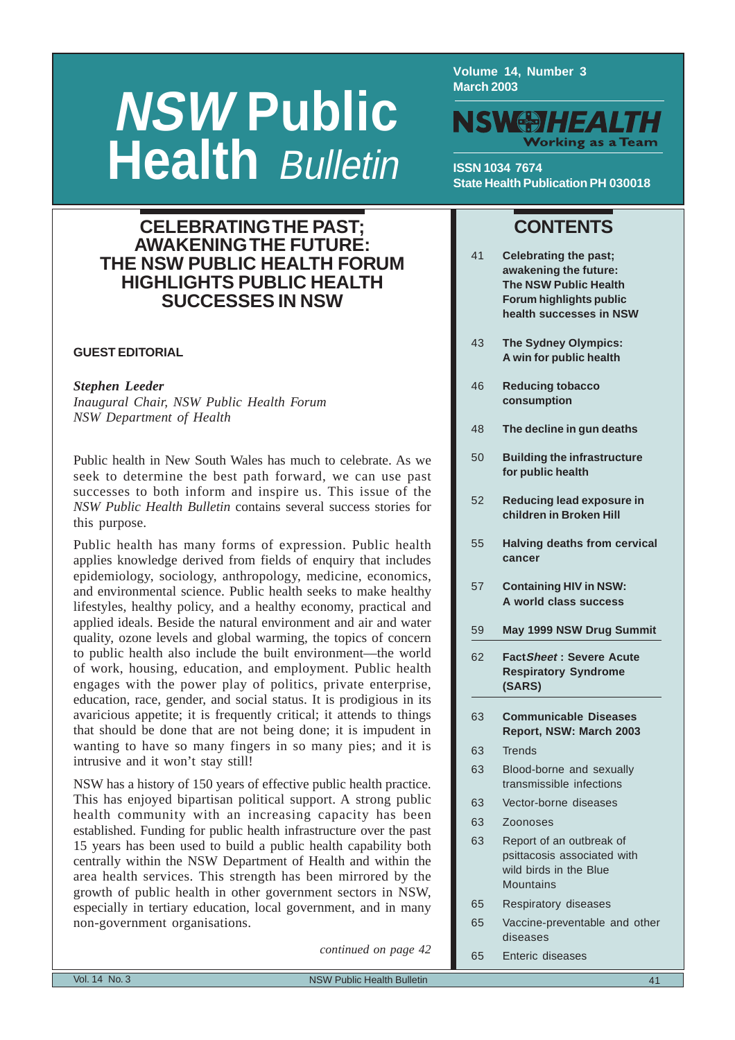# **NSW Public Health Bulletin**

**SUCCESSES IN NSW**

**Volume 14, Number 3 March 2003**



**ISSN 1034 7674 State Health Publication PH 030018**

41 **Celebrating the past; awakening the future: The NSW Public Health Forum highlights public health successes in NSW**

**CONTENTS**

# **CELEBRATING THE PAST; AWAKENING THE FUTURE: THE NSW PUBLIC HEALTH FORUM HIGHLIGHTS PUBLIC HEALTH**

# **GUEST EDITORIAL**

# *Stephen Leeder*

*Inaugural Chair, NSW Public Health Forum NSW Department of Health*

Public health in New South Wales has much to celebrate. As we seek to determine the best path forward, we can use past successes to both inform and inspire us. This issue of the *NSW Public Health Bulletin* contains several success stories for this purpose.

Public health has many forms of expression. Public health applies knowledge derived from fields of enquiry that includes epidemiology, sociology, anthropology, medicine, economics, and environmental science. Public health seeks to make healthy lifestyles, healthy policy, and a healthy economy, practical and applied ideals. Beside the natural environment and air and water quality, ozone levels and global warming, the topics of concern to public health also include the built environment—the world of work, housing, education, and employment. Public health engages with the power play of politics, private enterprise, education, race, gender, and social status. It is prodigious in its avaricious appetite; it is frequently critical; it attends to things that should be done that are not being done; it is impudent in wanting to have so many fingers in so many pies; and it is intrusive and it won't stay still!

NSW has a history of 150 years of effective public health practice. This has enjoyed bipartisan political support. A strong public health community with an increasing capacity has been established. Funding for public health infrastructure over the past 15 years has been used to build a public health capability both centrally within the NSW Department of Health and within the area health services. This strength has been mirrored by the growth of public health in other government sectors in NSW, especially in tertiary education, local government, and in many non-government organisations.

*continued on page 42*

|    | A win for public health |
|----|-------------------------|
| 46 | <b>Reducing tobacco</b> |
|    | consumption             |

43 **[The Sydney Olympics:](#page-2-0)**

- 48 **[The decline in gun deaths](#page-7-0)**
- 50 **[Building the infrastructure](#page-9-0) for public health**
- 52 **[Reducing lead exposure in](#page-11-0) children in Broken Hill**
- 55 **[Halving deaths from cervical](#page-14-0) cancer**
- 57 **[Containing HIV in NSW:](#page-16-0) A world class success**
- 59 **[May 1999 NSW Drug Summit](#page-18-0)**
- 62 **FactSheet : Severe Acute [Respiratory Syndrome](#page-21-0) (SARS)**
- 63 **Communicable Diseases [Report, NSW: March 2003](#page-22-0)**
- 63 Trends
- 63 Blood-borne and sexually transmissible infections
- 63 Vector-borne diseases
- 63 Zoonoses
- 63 Report of an outbreak of psittacosis associated with wild birds in the Blue **Mountains**
- 65 Respiratory diseases
- 65 Vaccine-preventable and other diseases
- 65 Enteric diseases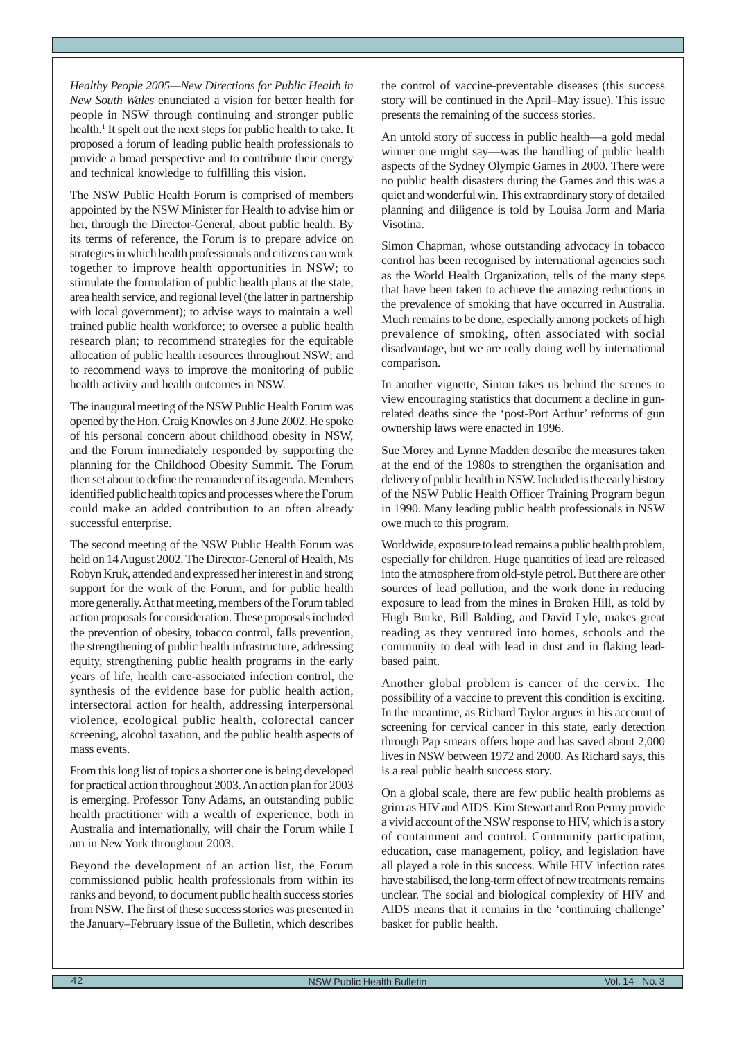*Healthy People 2005—New Directions for Public Health in New South Wales* enunciated a vision for better health for people in NSW through continuing and stronger public health.<sup>1</sup> It spelt out the next steps for public health to take. It proposed a forum of leading public health professionals to provide a broad perspective and to contribute their energy and technical knowledge to fulfilling this vision.

The NSW Public Health Forum is comprised of members appointed by the NSW Minister for Health to advise him or her, through the Director-General, about public health. By its terms of reference, the Forum is to prepare advice on strategies in which health professionals and citizens can work together to improve health opportunities in NSW; to stimulate the formulation of public health plans at the state, area health service, and regional level (the latter in partnership with local government); to advise ways to maintain a well trained public health workforce; to oversee a public health research plan; to recommend strategies for the equitable allocation of public health resources throughout NSW; and to recommend ways to improve the monitoring of public health activity and health outcomes in NSW.

The inaugural meeting of the NSW Public Health Forum was opened by the Hon. Craig Knowles on 3 June 2002. He spoke of his personal concern about childhood obesity in NSW, and the Forum immediately responded by supporting the planning for the Childhood Obesity Summit. The Forum then set about to define the remainder of its agenda. Members identified public health topics and processes where the Forum could make an added contribution to an often already successful enterprise.

The second meeting of the NSW Public Health Forum was held on 14 August 2002. The Director-General of Health, Ms Robyn Kruk, attended and expressed her interest in and strong support for the work of the Forum, and for public health more generally. At that meeting, members of the Forum tabled action proposals for consideration. These proposals included the prevention of obesity, tobacco control, falls prevention, the strengthening of public health infrastructure, addressing equity, strengthening public health programs in the early years of life, health care-associated infection control, the synthesis of the evidence base for public health action, intersectoral action for health, addressing interpersonal violence, ecological public health, colorectal cancer screening, alcohol taxation, and the public health aspects of mass events.

From this long list of topics a shorter one is being developed for practical action throughout 2003. An action plan for 2003 is emerging. Professor Tony Adams, an outstanding public health practitioner with a wealth of experience, both in Australia and internationally, will chair the Forum while I am in New York throughout 2003.

Beyond the development of an action list, the Forum commissioned public health professionals from within its ranks and beyond, to document public health success stories from NSW. The first of these success stories was presented in the January–February issue of the Bulletin, which describes the control of vaccine-preventable diseases (this success story will be continued in the April–May issue). This issue presents the remaining of the success stories.

An untold story of success in public health—a gold medal winner one might say—was the handling of public health aspects of the Sydney Olympic Games in 2000. There were no public health disasters during the Games and this was a quiet and wonderful win. This extraordinary story of detailed planning and diligence is told by Louisa Jorm and Maria Visotina.

Simon Chapman, whose outstanding advocacy in tobacco control has been recognised by international agencies such as the World Health Organization, tells of the many steps that have been taken to achieve the amazing reductions in the prevalence of smoking that have occurred in Australia. Much remains to be done, especially among pockets of high prevalence of smoking, often associated with social disadvantage, but we are really doing well by international comparison.

In another vignette, Simon takes us behind the scenes to view encouraging statistics that document a decline in gunrelated deaths since the 'post-Port Arthur' reforms of gun ownership laws were enacted in 1996.

Sue Morey and Lynne Madden describe the measures taken at the end of the 1980s to strengthen the organisation and delivery of public health in NSW. Included is the early history of the NSW Public Health Officer Training Program begun in 1990. Many leading public health professionals in NSW owe much to this program.

Worldwide, exposure to lead remains a public health problem, especially for children. Huge quantities of lead are released into the atmosphere from old-style petrol. But there are other sources of lead pollution, and the work done in reducing exposure to lead from the mines in Broken Hill, as told by Hugh Burke, Bill Balding, and David Lyle, makes great reading as they ventured into homes, schools and the community to deal with lead in dust and in flaking leadbased paint.

Another global problem is cancer of the cervix. The possibility of a vaccine to prevent this condition is exciting. In the meantime, as Richard Taylor argues in his account of screening for cervical cancer in this state, early detection through Pap smears offers hope and has saved about 2,000 lives in NSW between 1972 and 2000. As Richard says, this is a real public health success story.

On a global scale, there are few public health problems as grim as HIV and AIDS. Kim Stewart and Ron Penny provide a vivid account of the NSW response to HIV, which is a story of containment and control. Community participation, education, case management, policy, and legislation have all played a role in this success. While HIV infection rates have stabilised, the long-term effect of new treatments remains unclear. The social and biological complexity of HIV and AIDS means that it remains in the 'continuing challenge' basket for public health.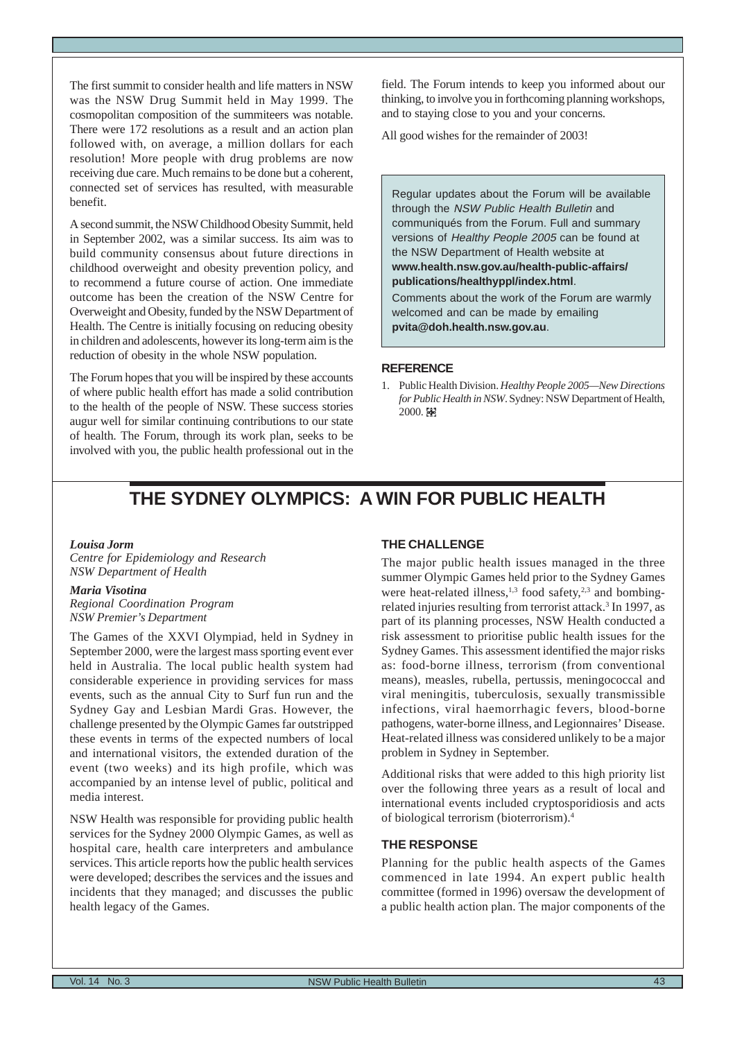<span id="page-2-0"></span>The first summit to consider health and life matters in NSW was the NSW Drug Summit held in May 1999. The cosmopolitan composition of the summiteers was notable. There were 172 resolutions as a result and an action plan followed with, on average, a million dollars for each resolution! More people with drug problems are now receiving due care. Much remains to be done but a coherent, connected set of services has resulted, with measurable benefit.

A second summit, the NSW Childhood Obesity Summit, held in September 2002, was a similar success. Its aim was to build community consensus about future directions in childhood overweight and obesity prevention policy, and to recommend a future course of action. One immediate outcome has been the creation of the NSW Centre for Overweight and Obesity, funded by the NSW Department of Health. The Centre is initially focusing on reducing obesity in children and adolescents, however its long-term aim is the reduction of obesity in the whole NSW population.

The Forum hopes that you will be inspired by these accounts of where public health effort has made a solid contribution to the health of the people of NSW. These success stories augur well for similar continuing contributions to our state of health. The Forum, through its work plan, seeks to be involved with you, the public health professional out in the field. The Forum intends to keep you informed about our thinking, to involve you in forthcoming planning workshops, and to staying close to you and your concerns.

All good wishes for the remainder of 2003!

Regular updates about the Forum will be available through the NSW Public Health Bulletin and communiqués from the Forum. Full and summary versions of Healthy People 2005 can be found at the NSW Department of Health website at **www.health.nsw.gov.au/health-public-affairs/ publications/healthyppl/index.html**.

Comments about the work of the Forum are warmly welcomed and can be made by emailing **pvita@doh.health.nsw.gov.au**.

#### **REFERENCE**

1. Public Health Division. *Healthy People 2005—New Directions for Public Health in NSW*. Sydney: NSW Department of Health, 2000. 图

# **THE SYDNEY OLYMPICS: A WIN FOR PUBLIC HEALTH**

#### *Louisa Jorm*

*Centre for Epidemiology and Research NSW Department of Health*

#### *Maria Visotina*

*Regional Coordination Program NSW Premier's Department*

The Games of the XXVI Olympiad, held in Sydney in September 2000, were the largest mass sporting event ever held in Australia. The local public health system had considerable experience in providing services for mass events, such as the annual City to Surf fun run and the Sydney Gay and Lesbian Mardi Gras. However, the challenge presented by the Olympic Games far outstripped these events in terms of the expected numbers of local and international visitors, the extended duration of the event (two weeks) and its high profile, which was accompanied by an intense level of public, political and media interest.

NSW Health was responsible for providing public health services for the Sydney 2000 Olympic Games, as well as hospital care, health care interpreters and ambulance services. This article reports how the public health services were developed; describes the services and the issues and incidents that they managed; and discusses the public health legacy of the Games.

#### **THE CHALLENGE**

The major public health issues managed in the three summer Olympic Games held prior to the Sydney Games were heat-related illness,<sup>1,3</sup> food safety,<sup>2,3</sup> and bombingrelated injuries resulting from terrorist attack.<sup>3</sup> In 1997, as part of its planning processes, NSW Health conducted a risk assessment to prioritise public health issues for the Sydney Games. This assessment identified the major risks as: food-borne illness, terrorism (from conventional means), measles, rubella, pertussis, meningococcal and viral meningitis, tuberculosis, sexually transmissible infections, viral haemorrhagic fevers, blood-borne pathogens, water-borne illness, and Legionnaires' Disease. Heat-related illness was considered unlikely to be a major problem in Sydney in September.

Additional risks that were added to this high priority list over the following three years as a result of local and international events included cryptosporidiosis and acts of biological terrorism (bioterrorism).4

#### **THE RESPONSE**

Planning for the public health aspects of the Games commenced in late 1994. An expert public health committee (formed in 1996) oversaw the development of a public health action plan. The major components of the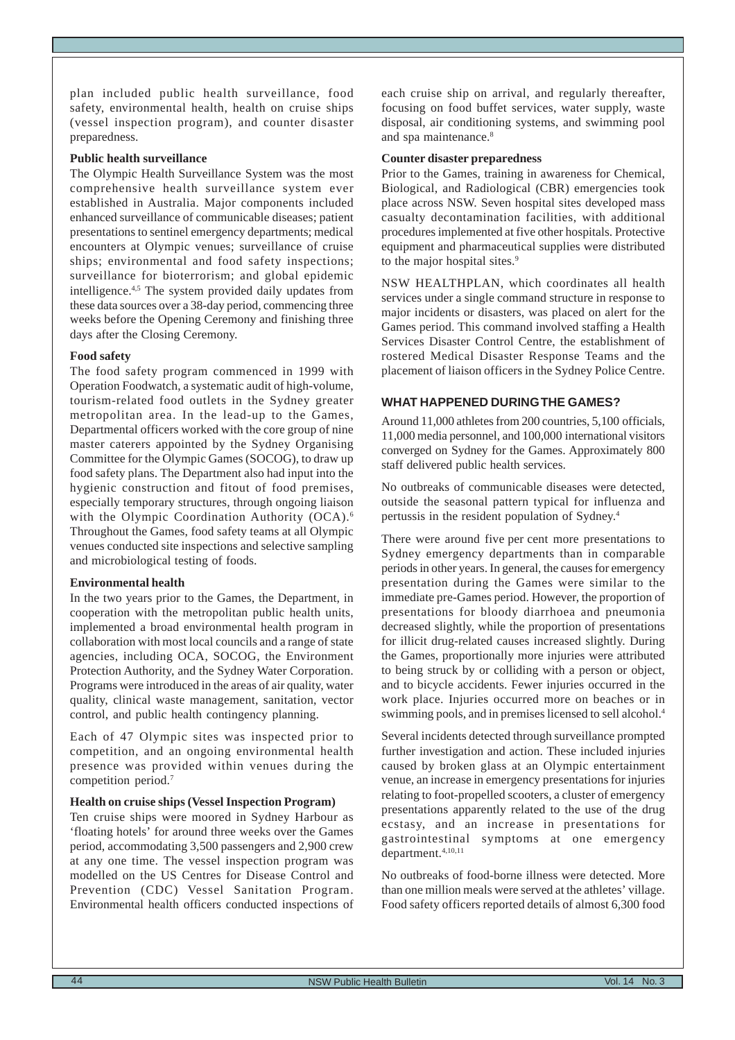plan included public health surveillance, food safety, environmental health, health on cruise ships (vessel inspection program), and counter disaster preparedness.

#### **Public health surveillance**

The Olympic Health Surveillance System was the most comprehensive health surveillance system ever established in Australia. Major components included enhanced surveillance of communicable diseases; patient presentations to sentinel emergency departments; medical encounters at Olympic venues; surveillance of cruise ships; environmental and food safety inspections; surveillance for bioterrorism; and global epidemic intelligence.4,5 The system provided daily updates from these data sources over a 38-day period, commencing three weeks before the Opening Ceremony and finishing three days after the Closing Ceremony.

#### **Food safety**

The food safety program commenced in 1999 with Operation Foodwatch, a systematic audit of high-volume, tourism-related food outlets in the Sydney greater metropolitan area. In the lead-up to the Games, Departmental officers worked with the core group of nine master caterers appointed by the Sydney Organising Committee for the Olympic Games (SOCOG), to draw up food safety plans. The Department also had input into the hygienic construction and fitout of food premises, especially temporary structures, through ongoing liaison with the Olympic Coordination Authority (OCA).<sup>6</sup> Throughout the Games, food safety teams at all Olympic venues conducted site inspections and selective sampling and microbiological testing of foods.

# **Environmental health**

In the two years prior to the Games, the Department, in cooperation with the metropolitan public health units, implemented a broad environmental health program in collaboration with most local councils and a range of state agencies, including OCA, SOCOG, the Environment Protection Authority, and the Sydney Water Corporation. Programs were introduced in the areas of air quality, water quality, clinical waste management, sanitation, vector control, and public health contingency planning.

Each of 47 Olympic sites was inspected prior to competition, and an ongoing environmental health presence was provided within venues during the competition period.7

# **Health on cruise ships (Vessel Inspection Program)**

Ten cruise ships were moored in Sydney Harbour as 'floating hotels' for around three weeks over the Games period, accommodating 3,500 passengers and 2,900 crew at any one time. The vessel inspection program was modelled on the US Centres for Disease Control and Prevention (CDC) Vessel Sanitation Program. Environmental health officers conducted inspections of each cruise ship on arrival, and regularly thereafter, focusing on food buffet services, water supply, waste disposal, air conditioning systems, and swimming pool and spa maintenance.<sup>8</sup>

#### **Counter disaster preparedness**

Prior to the Games, training in awareness for Chemical, Biological, and Radiological (CBR) emergencies took place across NSW. Seven hospital sites developed mass casualty decontamination facilities, with additional procedures implemented at five other hospitals. Protective equipment and pharmaceutical supplies were distributed to the major hospital sites.<sup>9</sup>

NSW HEALTHPLAN, which coordinates all health services under a single command structure in response to major incidents or disasters, was placed on alert for the Games period. This command involved staffing a Health Services Disaster Control Centre, the establishment of rostered Medical Disaster Response Teams and the placement of liaison officers in the Sydney Police Centre.

# **WHAT HAPPENED DURING THE GAMES?**

Around 11,000 athletes from 200 countries, 5,100 officials, 11,000 media personnel, and 100,000 international visitors converged on Sydney for the Games. Approximately 800 staff delivered public health services.

No outbreaks of communicable diseases were detected, outside the seasonal pattern typical for influenza and pertussis in the resident population of Sydney.4

There were around five per cent more presentations to Sydney emergency departments than in comparable periods in other years. In general, the causes for emergency presentation during the Games were similar to the immediate pre-Games period. However, the proportion of presentations for bloody diarrhoea and pneumonia decreased slightly, while the proportion of presentations for illicit drug-related causes increased slightly. During the Games, proportionally more injuries were attributed to being struck by or colliding with a person or object, and to bicycle accidents. Fewer injuries occurred in the work place. Injuries occurred more on beaches or in swimming pools, and in premises licensed to sell alcohol.<sup>4</sup>

Several incidents detected through surveillance prompted further investigation and action. These included injuries caused by broken glass at an Olympic entertainment venue, an increase in emergency presentations for injuries relating to foot-propelled scooters, a cluster of emergency presentations apparently related to the use of the drug ecstasy, and an increase in presentations for gastrointestinal symptoms at one emergency department.4,10,11

No outbreaks of food-borne illness were detected. More than one million meals were served at the athletes' village. Food safety officers reported details of almost 6,300 food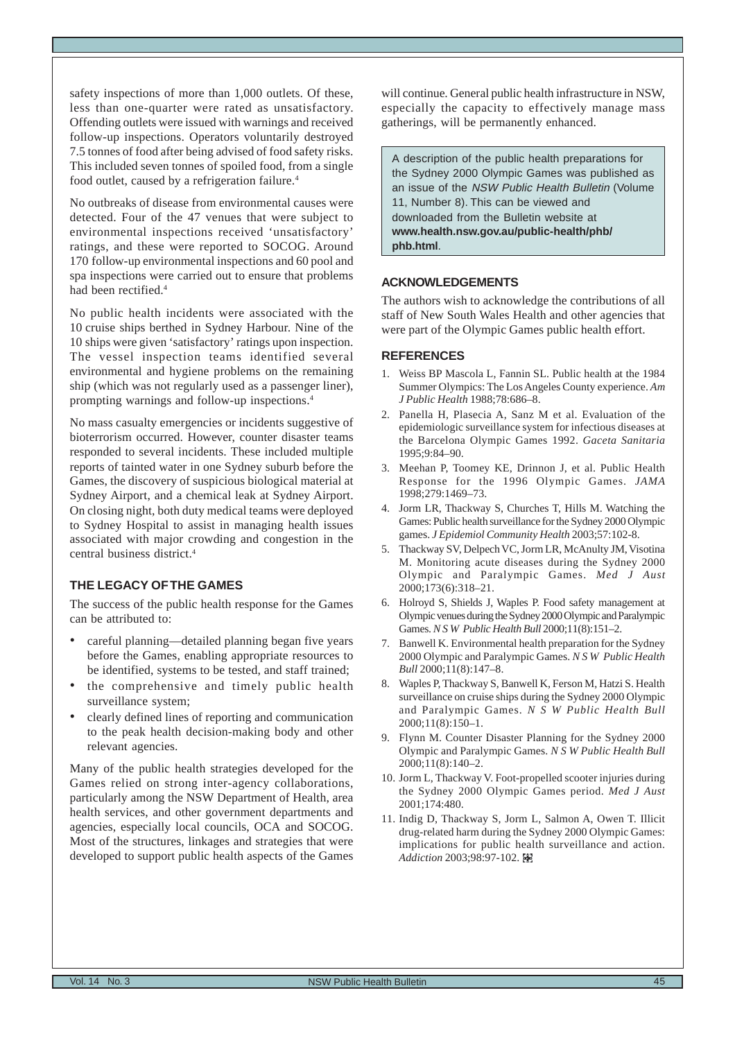safety inspections of more than 1,000 outlets. Of these, less than one-quarter were rated as unsatisfactory. Offending outlets were issued with warnings and received follow-up inspections. Operators voluntarily destroyed 7.5 tonnes of food after being advised of food safety risks. This included seven tonnes of spoiled food, from a single food outlet, caused by a refrigeration failure.<sup>4</sup>

No outbreaks of disease from environmental causes were detected. Four of the 47 venues that were subject to environmental inspections received 'unsatisfactory' ratings, and these were reported to SOCOG. Around 170 follow-up environmental inspections and 60 pool and spa inspections were carried out to ensure that problems had been rectified.4

No public health incidents were associated with the 10 cruise ships berthed in Sydney Harbour. Nine of the 10 ships were given 'satisfactory' ratings upon inspection. The vessel inspection teams identified several environmental and hygiene problems on the remaining ship (which was not regularly used as a passenger liner), prompting warnings and follow-up inspections.4

No mass casualty emergencies or incidents suggestive of bioterrorism occurred. However, counter disaster teams responded to several incidents. These included multiple reports of tainted water in one Sydney suburb before the Games, the discovery of suspicious biological material at Sydney Airport, and a chemical leak at Sydney Airport. On closing night, both duty medical teams were deployed to Sydney Hospital to assist in managing health issues associated with major crowding and congestion in the central business district.4

# **THE LEGACY OF THE GAMES**

The success of the public health response for the Games can be attributed to:

- careful planning—detailed planning began five years before the Games, enabling appropriate resources to be identified, systems to be tested, and staff trained;
- the comprehensive and timely public health surveillance system;
- clearly defined lines of reporting and communication to the peak health decision-making body and other relevant agencies.

Many of the public health strategies developed for the Games relied on strong inter-agency collaborations, particularly among the NSW Department of Health, area health services, and other government departments and agencies, especially local councils, OCA and SOCOG. Most of the structures, linkages and strategies that were developed to support public health aspects of the Games will continue. General public health infrastructure in NSW, especially the capacity to effectively manage mass gatherings, will be permanently enhanced.

A description of the public health preparations for the Sydney 2000 Olympic Games was published as an issue of the NSW Public Health Bulletin (Volume 11, Number 8). This can be viewed and downloaded from the Bulletin website at **www.health.nsw.gov.au/public-health/phb/ phb.html**.

### **ACKNOWLEDGEMENTS**

The authors wish to acknowledge the contributions of all staff of New South Wales Health and other agencies that were part of the Olympic Games public health effort.

- 1. Weiss BP Mascola L, Fannin SL. Public health at the 1984 Summer Olympics: The Los Angeles County experience. *Am J Public Health* 1988;78:686–8.
- 2. Panella H, Plasecia A, Sanz M et al. Evaluation of the epidemiologic surveillance system for infectious diseases at the Barcelona Olympic Games 1992. *Gaceta Sanitaria* 1995;9:84–90.
- 3. Meehan P, Toomey KE, Drinnon J, et al. Public Health Response for the 1996 Olympic Games. *JAMA* 1998;279:1469–73.
- 4. Jorm LR, Thackway S, Churches T, Hills M. Watching the Games: Public health surveillance for the Sydney 2000 Olympic games. *J Epidemiol Community Health* 2003;57:102-8.
- 5. Thackway SV, Delpech VC, Jorm LR, McAnulty JM, Visotina M. Monitoring acute diseases during the Sydney 2000 Olympic and Paralympic Games. *Med J Aust* 2000;173(6):318–21.
- 6. Holroyd S, Shields J, Waples P. Food safety management at Olympic venues during the Sydney 2000 Olympic and Paralympic Games. *N S W Public Health Bull* 2000;11(8):151–2.
- 7. Banwell K. Environmental health preparation for the Sydney 2000 Olympic and Paralympic Games. *N S W Public Health Bull* 2000;11(8):147–8.
- 8. Waples P, Thackway S, Banwell K, Ferson M, Hatzi S. Health surveillance on cruise ships during the Sydney 2000 Olympic and Paralympic Games. *N S W Public Health Bull* 2000;11(8):150–1.
- 9. Flynn M. Counter Disaster Planning for the Sydney 2000 Olympic and Paralympic Games. *N S W Public Health Bull* 2000;11(8):140–2.
- 10. Jorm L, Thackway V. Foot-propelled scooter injuries during the Sydney 2000 Olympic Games period. *Med J Aust* 2001;174:480.
- 11. Indig D, Thackway S, Jorm L, Salmon A, Owen T. Illicit drug-related harm during the Sydney 2000 Olympic Games: implications for public health surveillance and action. *Addiction* 2003;98:97-102.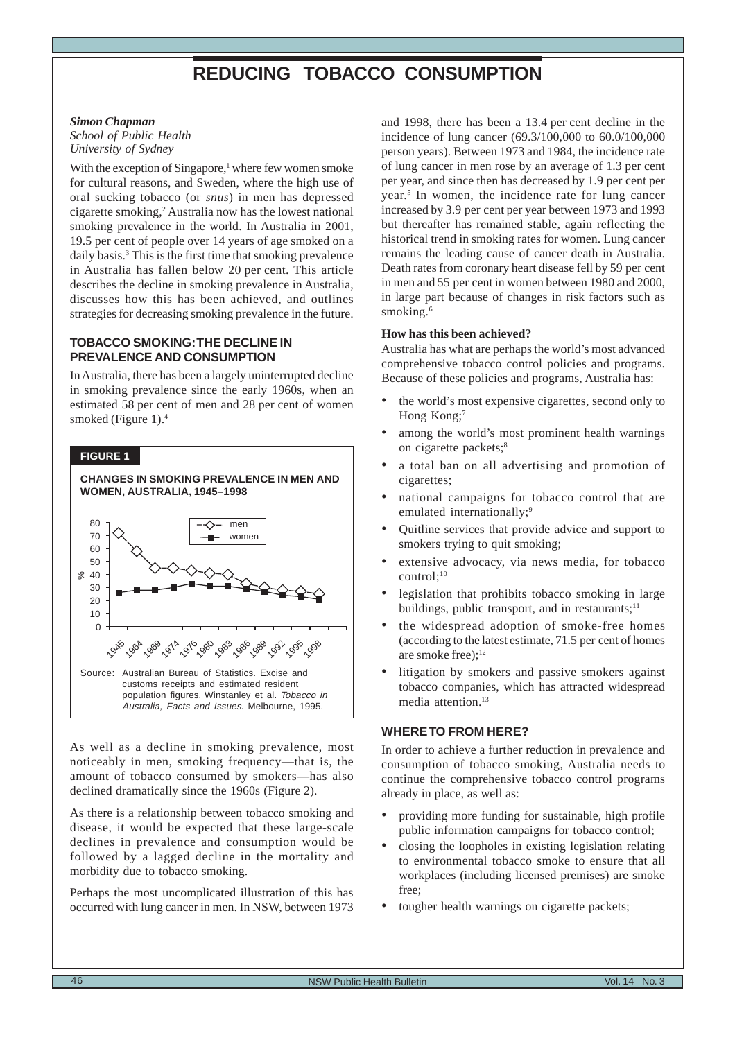# **REDUCING TOBACCO CONSUMPTION**

#### <span id="page-5-0"></span>*Simon Chapman*

*School of Public Health University of Sydney*

With the exception of Singapore,<sup>1</sup> where few women smoke for cultural reasons, and Sweden, where the high use of oral sucking tobacco (or *snus*) in men has depressed cigarette smoking,2 Australia now has the lowest national smoking prevalence in the world. In Australia in 2001, 19.5 per cent of people over 14 years of age smoked on a daily basis.3 This is the first time that smoking prevalence in Australia has fallen below 20 per cent. This article describes the decline in smoking prevalence in Australia, discusses how this has been achieved, and outlines strategies for decreasing smoking prevalence in the future.

# **TOBACCO SMOKING: THE DECLINE IN PREVALENCE AND CONSUMPTION**

In Australia, there has been a largely uninterrupted decline in smoking prevalence since the early 1960s, when an estimated 58 per cent of men and 28 per cent of women smoked (Figure 1).<sup>4</sup>

#### **FIGURE 1**



As well as a decline in smoking prevalence, most noticeably in men, smoking frequency—that is, the amount of tobacco consumed by smokers—has also declined dramatically since the 1960s (Figure 2).

As there is a relationship between tobacco smoking and disease, it would be expected that these large-scale declines in prevalence and consumption would be followed by a lagged decline in the mortality and morbidity due to tobacco smoking.

Perhaps the most uncomplicated illustration of this has occurred with lung cancer in men. In NSW, between 1973 and 1998, there has been a 13.4 per cent decline in the incidence of lung cancer (69.3/100,000 to 60.0/100,000 person years). Between 1973 and 1984, the incidence rate of lung cancer in men rose by an average of 1.3 per cent per year, and since then has decreased by 1.9 per cent per year.5 In women, the incidence rate for lung cancer increased by 3.9 per cent per year between 1973 and 1993 but thereafter has remained stable, again reflecting the historical trend in smoking rates for women. Lung cancer remains the leading cause of cancer death in Australia. Death rates from coronary heart disease fell by 59 per cent in men and 55 per cent in women between 1980 and 2000, in large part because of changes in risk factors such as smoking.<sup>6</sup>

#### **How has this been achieved?**

Australia has what are perhaps the world's most advanced comprehensive tobacco control policies and programs. Because of these policies and programs, Australia has:

- the world's most expensive cigarettes, second only to Hong Kong:<sup>7</sup>
- among the world's most prominent health warnings on cigarette packets;<sup>8</sup>
- a total ban on all advertising and promotion of cigarettes;
- national campaigns for tobacco control that are emulated internationally:<sup>9</sup>
- Quitline services that provide advice and support to smokers trying to quit smoking;
- extensive advocacy, via news media, for tobacco control;<sup>10</sup>
- legislation that prohibits tobacco smoking in large buildings, public transport, and in restaurants; $<sup>11</sup>$ </sup>
- the widespread adoption of smoke-free homes (according to the latest estimate, 71.5 per cent of homes are smoke free):<sup>12</sup>
- litigation by smokers and passive smokers against tobacco companies, which has attracted widespread media attention.<sup>13</sup>

# **WHERE TO FROM HERE?**

In order to achieve a further reduction in prevalence and consumption of tobacco smoking, Australia needs to continue the comprehensive tobacco control programs already in place, as well as:

- providing more funding for sustainable, high profile public information campaigns for tobacco control;
- closing the loopholes in existing legislation relating to environmental tobacco smoke to ensure that all workplaces (including licensed premises) are smoke free;
- tougher health warnings on cigarette packets;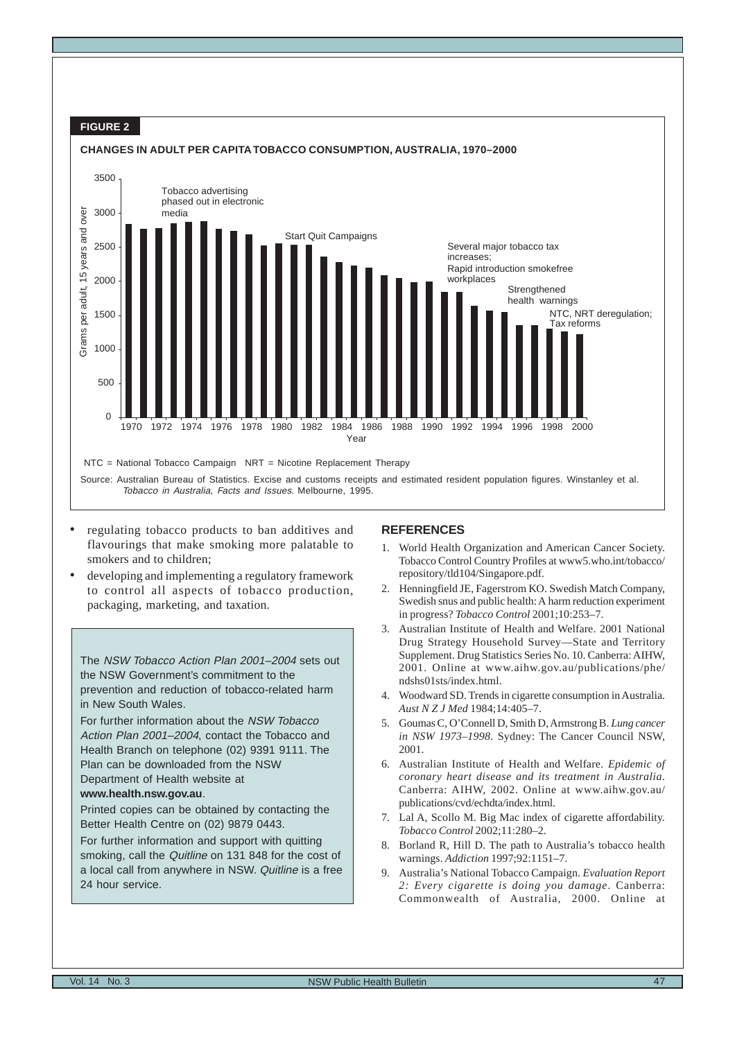

- regulating tobacco products to ban additives and flavourings that make smoking more palatable to smokers and to children;
- developing and implementing a regulatory framework to control all aspects of tobacco production, packaging, marketing, and taxation.

The NSW Tobacco Action Plan 2001–2004 sets out the NSW Government's commitment to the prevention and reduction of tobacco-related harm in New South Wales.

For further information about the NSW Tobacco Action Plan 2001–2004, contact the Tobacco and Health Branch on telephone (02) 9391 9111. The Plan can be downloaded from the NSW Department of Health website at

# **www.health.nsw.gov.au**.

Printed copies can be obtained by contacting the Better Health Centre on (02) 9879 0443.

For further information and support with quitting smoking, call the Quitline on 131 848 for the cost of a local call from anywhere in NSW. Quitline is a free 24 hour service.

- 1. World Health Organization and American Cancer Society. Tobacco Control Country Profiles at www5.who.int/tobacco/ repository/tld104/Singapore.pdf.
- 2. Henningfield JE, Fagerstrom KO. Swedish Match Company, Swedish snus and public health: A harm reduction experiment in progress? *Tobacco Control* 2001;10:253–7.
- 3. Australian Institute of Health and Welfare. 2001 National Drug Strategy Household Survey—State and Territory Supplement. Drug Statistics Series No. 10. Canberra: AIHW, 2001. Online at www.aihw.gov.au/publications/phe/ ndshs01sts/index.html.
- 4. Woodward SD. Trends in cigarette consumption in Australia. *Aust N Z J Med* 1984;14:405–7.
- 5. Goumas C, O'Connell D, Smith D, Armstrong B. *Lung cancer in NSW 1973–1998*. Sydney: The Cancer Council NSW, 2001.
- 6. Australian Institute of Health and Welfare. *Epidemic of coronary heart disease and its treatment in Australia*. Canberra: AIHW, 2002. Online at www.aihw.gov.au/ publications/cvd/echdta/index.html.
- 7. Lal A, Scollo M. Big Mac index of cigarette affordability. *Tobacco Control* 2002;11:280–2.
- 8. Borland R, Hill D. The path to Australia's tobacco health warnings. *Addiction* 1997;92:1151–7.
- 9. Australia's National Tobacco Campaign. *Evaluation Report 2: Every cigarette is doing you damage*. Canberra: Commonwealth of Australia, 2000. Online at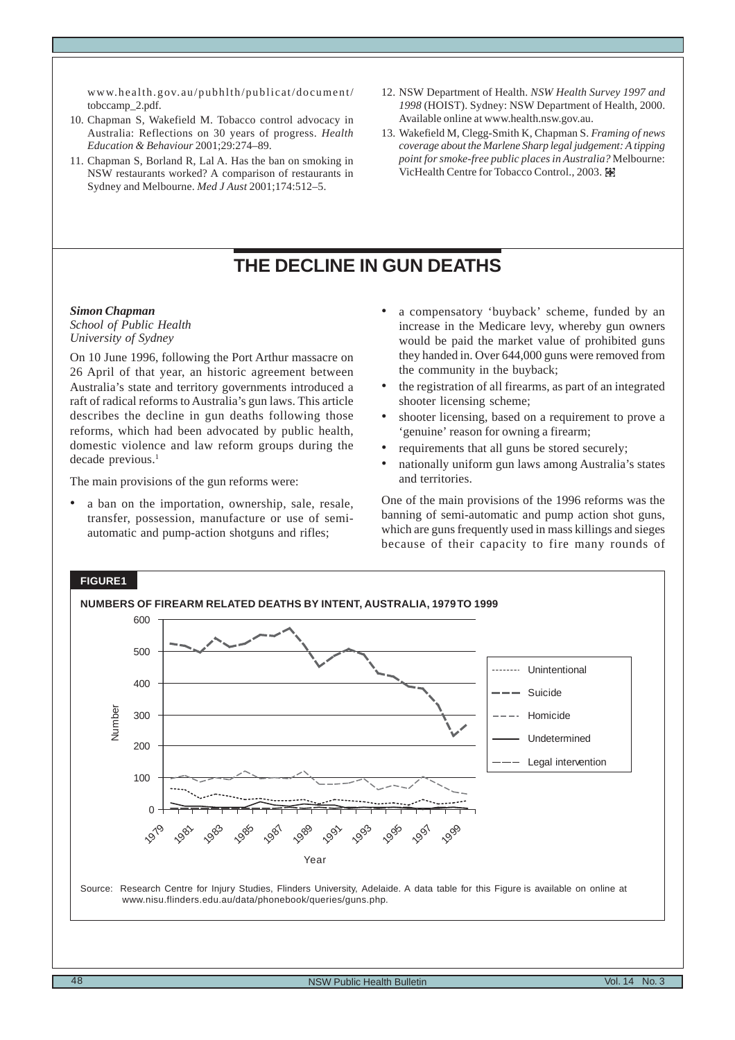<span id="page-7-0"></span>www.health.gov.au/pubhlth/publicat/document/ tobccamp\_2.pdf.

- 10. Chapman S, Wakefield M. Tobacco control advocacy in Australia: Reflections on 30 years of progress. *Health Education & Behaviour* 2001;29:274–89.
- 11. Chapman S, Borland R, Lal A. Has the ban on smoking in NSW restaurants worked? A comparison of restaurants in Sydney and Melbourne. *Med J Aust* 2001;174:512–5.
- 12. NSW Department of Health. *NSW Health Survey 1997 and 1998* (HOIST). Sydney: NSW Department of Health, 2000. Available online at www.health.nsw.gov.au.
- 13. Wakefield M, Clegg-Smith K, Chapman S. *Framing of news coverage about the Marlene Sharp legal judgement: A tipping point for smoke-free public places in Australia?* Melbourne: VicHealth Centre for Tobacco Control., 2003.

# **THE DECLINE IN GUN DEATHS**

#### *Simon Chapman*

*School of Public Health University of Sydney*

On 10 June 1996, following the Port Arthur massacre on 26 April of that year, an historic agreement between Australia's state and territory governments introduced a raft of radical reforms to Australia's gun laws. This article describes the decline in gun deaths following those reforms, which had been advocated by public health, domestic violence and law reform groups during the decade previous.<sup>1</sup>

The main provisions of the gun reforms were:

a ban on the importation, ownership, sale, resale, transfer, possession, manufacture or use of semiautomatic and pump-action shotguns and rifles;

- a compensatory 'buyback' scheme, funded by an increase in the Medicare levy, whereby gun owners would be paid the market value of prohibited guns they handed in. Over 644,000 guns were removed from the community in the buyback;
- the registration of all firearms, as part of an integrated shooter licensing scheme;
- shooter licensing, based on a requirement to prove a 'genuine' reason for owning a firearm;
- requirements that all guns be stored securely;
- nationally uniform gun laws among Australia's states and territories.

One of the main provisions of the 1996 reforms was the banning of semi-automatic and pump action shot guns, which are guns frequently used in mass killings and sieges because of their capacity to fire many rounds of

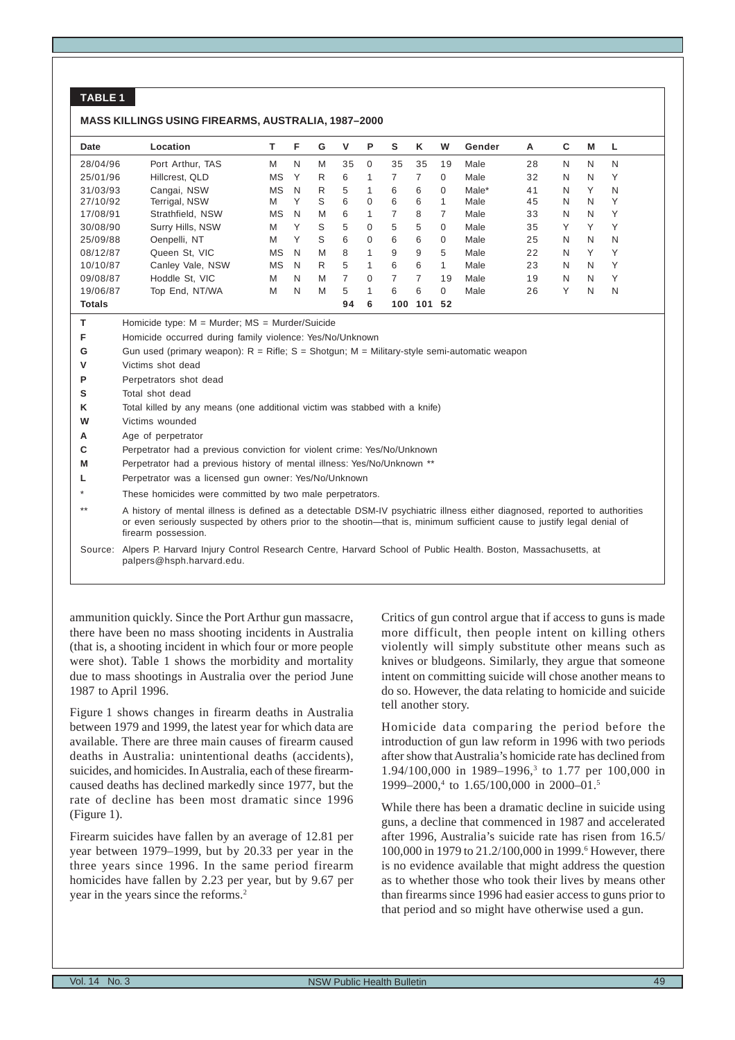# **TABLE 1**

#### **MASS KILLINGS USING FIREARMS, AUSTRALIA, 1987–2000**

| Date          | Location         |    | F | G | v  | P        | s   | ĸ   | W        | Gender | A  | С | M            | .L |  |
|---------------|------------------|----|---|---|----|----------|-----|-----|----------|--------|----|---|--------------|----|--|
| 28/04/96      | Port Arthur, TAS | M  | N | M | 35 | $\Omega$ | 35  | 35  | 19       | Male   | 28 | N | N            | N  |  |
| 25/01/96      | Hillcrest. QLD   | ΜS | Υ | R | 6  | 1        |     |     | $\Omega$ | Male   | 32 | N | N            | Υ  |  |
| 31/03/93      | Cangai, NSW      | ΜS | N | R | 5  | 1        | 6   | 6   | $\Omega$ | Male*  | 41 | N | Υ            | N  |  |
| 27/10/92      | Terrigal, NSW    | M  | Υ | S | 6  | 0        | 6   | 6   |          | Male   | 45 | N | N            | Υ  |  |
| 17/08/91      | Strathfield, NSW | ΜS | N | M | 6  | 1        | 7   | 8   |          | Male   | 33 | N | N            | Υ  |  |
| 30/08/90      | Surry Hills, NSW | M  | Υ | S | 5  | $\Omega$ | 5   | 5   | $\Omega$ | Male   | 35 | Υ | ٧            | Υ  |  |
| 25/09/88      | Oenpelli, NT     | M  | Υ | S | 6  | $\Omega$ | 6   | 6   | $\Omega$ | Male   | 25 | N | N            | N  |  |
| 08/12/87      | Queen St, VIC    | ΜS | N | M | 8  | 1        | 9   | 9   | 5        | Male   | 22 | N | $\checkmark$ | Υ  |  |
| 10/10/87      | Canley Vale, NSW | ΜS | N | R | 5  | 1        | 6   | 6   | 4        | Male   | 23 | N | N            | Υ  |  |
| 09/08/87      | Hoddle St. VIC   | M  | N | M | 7  | $\Omega$ | 7   |     | 19       | Male   | 19 | N | N            | Υ  |  |
| 19/06/87      | Top End, NT/WA   | M  | N | M | 5  | 1        | 6   | 6   | $\Omega$ | Male   | 26 | Υ | N            | N  |  |
| <b>Totals</b> |                  |    |   |   | 94 | 6        | 100 | 101 | 52       |        |    |   |              |    |  |

**T** Homicide type: M = Murder; MS = Murder/Suicide

**F** Homicide occurred during family violence: Yes/No/Unknown

- **G** Gun used (primary weapon): R = Rifle; S = Shotgun; M = Military-style semi-automatic weapon
- **V** Victims shot dead
- **P** Perpetrators shot dead
- **S** Total shot dead
- **K** Total killed by any means (one additional victim was stabbed with a knife)
- **W** Victims wounded
- **A** Age of perpetrator
- **C** Perpetrator had a previous conviction for violent crime: Yes/No/Unknown
- **M** Perpetrator had a previous history of mental illness: Yes/No/Unknown \*\*
- **L** Perpetrator was a licensed gun owner: Yes/No/Unknown
- These homicides were committed by two male perpetrators.

\*\* A history of mental illness is defined as a detectable DSM-IV psychiatric illness either diagnosed, reported to authorities or even seriously suspected by others prior to the shootin—that is, minimum sufficient cause to justify legal denial of firearm possession.

Source: Alpers P. Harvard Injury Control Research Centre, Harvard School of Public Health. Boston, Massachusetts, at palpers@hsph.harvard.edu.

ammunition quickly. Since the Port Arthur gun massacre, there have been no mass shooting incidents in Australia (that is, a shooting incident in which four or more people were shot). Table 1 shows the morbidity and mortality due to mass shootings in Australia over the period June 1987 to April 1996.

Figure 1 shows changes in firearm deaths in Australia between 1979 and 1999, the latest year for which data are available. There are three main causes of firearm caused deaths in Australia: unintentional deaths (accidents), suicides, and homicides. In Australia, each of these firearmcaused deaths has declined markedly since 1977, but the rate of decline has been most dramatic since 1996 (Figure 1).

Firearm suicides have fallen by an average of 12.81 per year between 1979–1999, but by 20.33 per year in the three years since 1996. In the same period firearm homicides have fallen by 2.23 per year, but by 9.67 per year in the years since the reforms.<sup>2</sup>

Critics of gun control argue that if access to guns is made more difficult, then people intent on killing others violently will simply substitute other means such as knives or bludgeons. Similarly, they argue that someone intent on committing suicide will chose another means to do so. However, the data relating to homicide and suicide tell another story.

Homicide data comparing the period before the introduction of gun law reform in 1996 with two periods after show that Australia's homicide rate has declined from 1.94/100,000 in 1989-1996,<sup>3</sup> to 1.77 per 100,000 in 1999–2000,<sup>4</sup> to 1.65/100,000 in 2000–01.<sup>5</sup>

While there has been a dramatic decline in suicide using guns, a decline that commenced in 1987 and accelerated after 1996, Australia's suicide rate has risen from 16.5/ 100,000 in 1979 to 21.2/100,000 in 1999.<sup>6</sup> However, there is no evidence available that might address the question as to whether those who took their lives by means other than firearms since 1996 had easier access to guns prior to that period and so might have otherwise used a gun.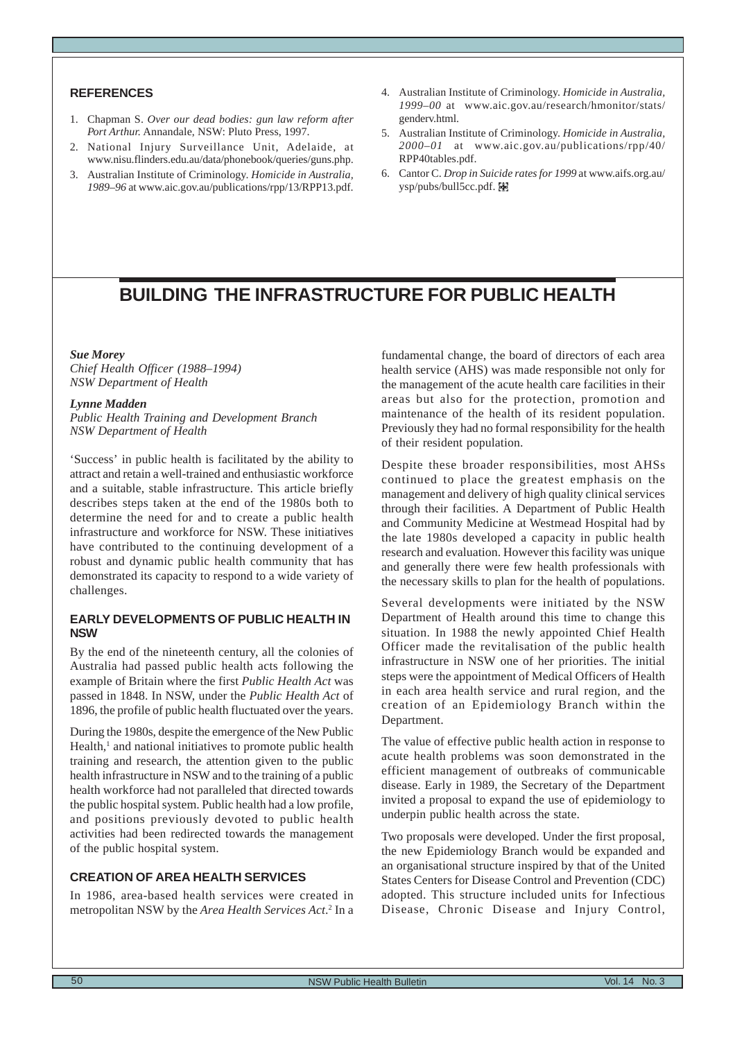# <span id="page-9-0"></span>**REFERENCES**

- 1. Chapman S. *Over our dead bodies: gun law reform after Port Arthur.* Annandale, NSW: Pluto Press, 1997.
- 2. National Injury Surveillance Unit, Adelaide, at www.nisu.flinders.edu.au/data/phonebook/queries/guns.php.
- 3. Australian Institute of Criminology. *Homicide in Australia, 1989–96* at www.aic.gov.au/publications/rpp/13/RPP13.pdf.
- 4. Australian Institute of Criminology. *Homicide in Australia, 1999–00* at www.aic.gov.au/research/hmonitor/stats/ genderv.html.
- 5. Australian Institute of Criminology. *Homicide in Australia, 2000–01* at www.aic.gov.au/publications/rpp/40/ RPP40tables.pdf.
- 6. Cantor C. *Drop in Suicide rates for 1999* at www.aifs.org.au/ ysp/pubs/bull5cc.pdf.

# **BUILDING THE INFRASTRUCTURE FOR PUBLIC HEALTH**

#### *Sue Morey*

*Chief Health Officer (1988–1994) NSW Department of Health*

#### *Lynne Madden*

*Public Health Training and Development Branch NSW Department of Health*

'Success' in public health is facilitated by the ability to attract and retain a well-trained and enthusiastic workforce and a suitable, stable infrastructure. This article briefly describes steps taken at the end of the 1980s both to determine the need for and to create a public health infrastructure and workforce for NSW. These initiatives have contributed to the continuing development of a robust and dynamic public health community that has demonstrated its capacity to respond to a wide variety of challenges.

# **EARLY DEVELOPMENTS OF PUBLIC HEALTH IN NSW**

By the end of the nineteenth century, all the colonies of Australia had passed public health acts following the example of Britain where the first *Public Health Act* was passed in 1848. In NSW, under the *Public Health Act* of 1896, the profile of public health fluctuated over the years.

During the 1980s, despite the emergence of the New Public Health,<sup>1</sup> and national initiatives to promote public health training and research, the attention given to the public health infrastructure in NSW and to the training of a public health workforce had not paralleled that directed towards the public hospital system. Public health had a low profile, and positions previously devoted to public health activities had been redirected towards the management of the public hospital system.

# **CREATION OF AREA HEALTH SERVICES**

In 1986, area-based health services were created in metropolitan NSW by the *Area Health Services Act*.<sup>2</sup> In a

fundamental change, the board of directors of each area health service (AHS) was made responsible not only for the management of the acute health care facilities in their areas but also for the protection, promotion and maintenance of the health of its resident population. Previously they had no formal responsibility for the health of their resident population.

Despite these broader responsibilities, most AHSs continued to place the greatest emphasis on the management and delivery of high quality clinical services through their facilities. A Department of Public Health and Community Medicine at Westmead Hospital had by the late 1980s developed a capacity in public health research and evaluation. However this facility was unique and generally there were few health professionals with the necessary skills to plan for the health of populations.

Several developments were initiated by the NSW Department of Health around this time to change this situation. In 1988 the newly appointed Chief Health Officer made the revitalisation of the public health infrastructure in NSW one of her priorities. The initial steps were the appointment of Medical Officers of Health in each area health service and rural region, and the creation of an Epidemiology Branch within the Department.

The value of effective public health action in response to acute health problems was soon demonstrated in the efficient management of outbreaks of communicable disease. Early in 1989, the Secretary of the Department invited a proposal to expand the use of epidemiology to underpin public health across the state.

Two proposals were developed. Under the first proposal, the new Epidemiology Branch would be expanded and an organisational structure inspired by that of the United States Centers for Disease Control and Prevention (CDC) adopted. This structure included units for Infectious Disease, Chronic Disease and Injury Control,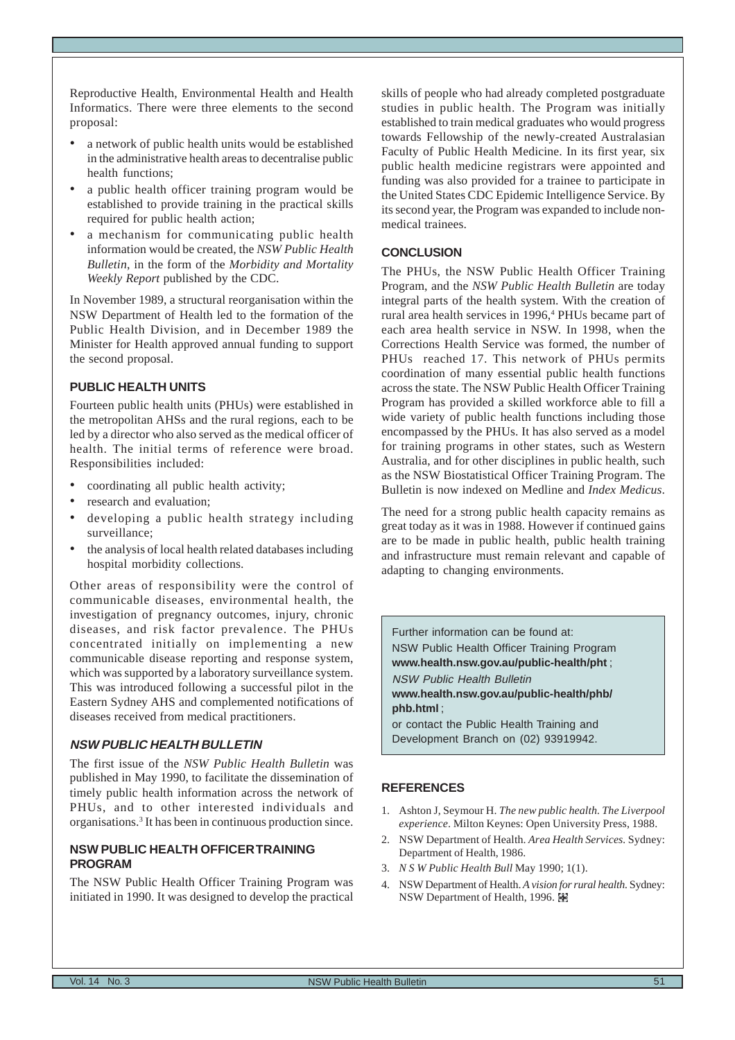Reproductive Health, Environmental Health and Health Informatics. There were three elements to the second proposal:

- a network of public health units would be established in the administrative health areas to decentralise public health functions;
- a public health officer training program would be established to provide training in the practical skills required for public health action;
- a mechanism for communicating public health information would be created, the *NSW Public Health Bulletin*, in the form of the *Morbidity and Mortality Weekly Report* published by the CDC.

In November 1989, a structural reorganisation within the NSW Department of Health led to the formation of the Public Health Division, and in December 1989 the Minister for Health approved annual funding to support the second proposal.

#### **PUBLIC HEALTH UNITS**

Fourteen public health units (PHUs) were established in the metropolitan AHSs and the rural regions, each to be led by a director who also served as the medical officer of health. The initial terms of reference were broad. Responsibilities included:

- coordinating all public health activity;
- research and evaluation;
- developing a public health strategy including surveillance;
- the analysis of local health related databases including hospital morbidity collections.

Other areas of responsibility were the control of communicable diseases, environmental health, the investigation of pregnancy outcomes, injury, chronic diseases, and risk factor prevalence. The PHUs concentrated initially on implementing a new communicable disease reporting and response system, which was supported by a laboratory surveillance system. This was introduced following a successful pilot in the Eastern Sydney AHS and complemented notifications of diseases received from medical practitioners.

#### **NSW PUBLIC HEALTH BULLETIN**

The first issue of the *NSW Public Health Bulletin* was published in May 1990, to facilitate the dissemination of timely public health information across the network of PHUs, and to other interested individuals and organisations.3 It has been in continuous production since.

# **NSW PUBLIC HEALTH OFFICER TRAINING PROGRAM**

The NSW Public Health Officer Training Program was initiated in 1990. It was designed to develop the practical skills of people who had already completed postgraduate studies in public health. The Program was initially established to train medical graduates who would progress towards Fellowship of the newly-created Australasian Faculty of Public Health Medicine. In its first year, six public health medicine registrars were appointed and funding was also provided for a trainee to participate in the United States CDC Epidemic Intelligence Service. By its second year, the Program was expanded to include nonmedical trainees.

#### **CONCLUSION**

The PHUs, the NSW Public Health Officer Training Program, and the *NSW Public Health Bulletin* are today integral parts of the health system. With the creation of rural area health services in 1996,<sup>4</sup> PHUs became part of each area health service in NSW. In 1998, when the Corrections Health Service was formed, the number of PHUs reached 17. This network of PHUs permits coordination of many essential public health functions across the state. The NSW Public Health Officer Training Program has provided a skilled workforce able to fill a wide variety of public health functions including those encompassed by the PHUs. It has also served as a model for training programs in other states, such as Western Australia, and for other disciplines in public health, such as the NSW Biostatistical Officer Training Program. The Bulletin is now indexed on Medline and *Index Medicus*.

The need for a strong public health capacity remains as great today as it was in 1988. However if continued gains are to be made in public health, public health training and infrastructure must remain relevant and capable of adapting to changing environments.

Further information can be found at: NSW Public Health Officer Training Program **www.health.nsw.gov.au/public-health/pht** ; NSW Public Health Bulletin

**www.health.nsw.gov.au/public-health/phb/ phb.html** ;

or contact the Public Health Training and Development Branch on (02) 93919942.

- 1. Ashton J, Seymour H. *The new public health. The Liverpool experience*. Milton Keynes: Open University Press, 1988.
- 2. NSW Department of Health. *Area Health Services.* Sydney: Department of Health, 1986.
- 3. *N S W Public Health Bull* May 1990; 1(1).
- 4. NSW Department of Health. *A vision for rural health.* Sydney: **NSW Department of Health, 1996. 闔**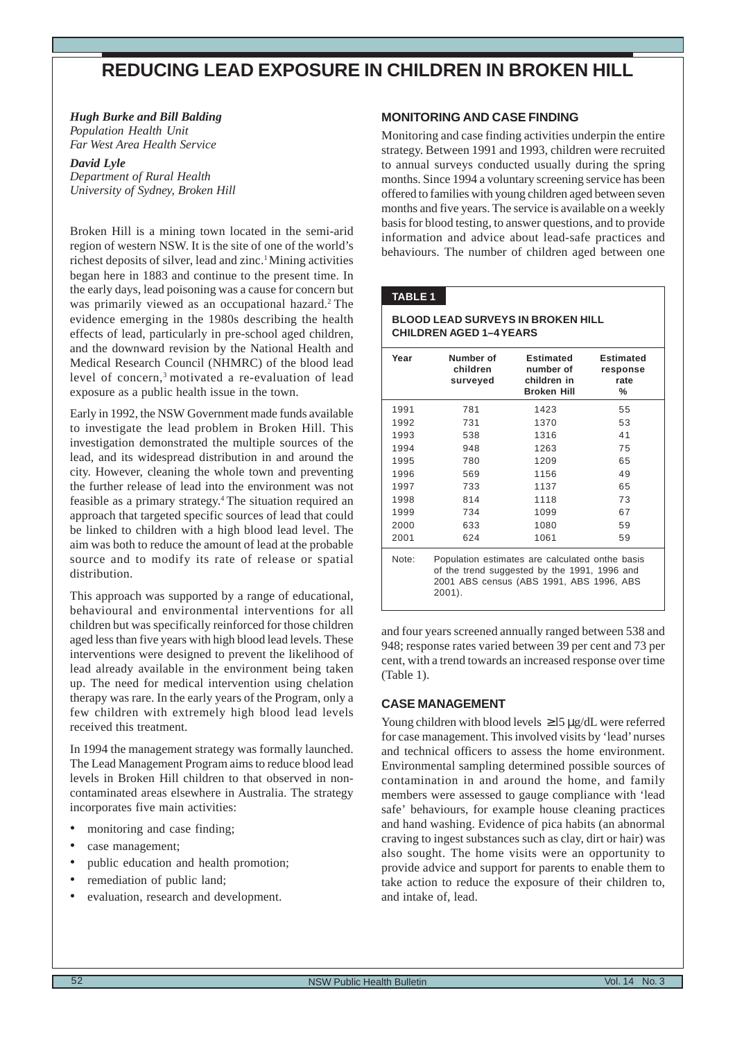# <span id="page-11-0"></span>**REDUCING LEAD EXPOSURE IN CHILDREN IN BROKEN HILL**

# *Hugh Burke and Bill Balding*

*Population Health Unit Far West Area Health Service*

# *David Lyle*

*Department of Rural Health University of Sydney, Broken Hill*

Broken Hill is a mining town located in the semi-arid region of western NSW. It is the site of one of the world's richest deposits of silver, lead and zinc.<sup>1</sup> Mining activities began here in 1883 and continue to the present time. In the early days, lead poisoning was a cause for concern but was primarily viewed as an occupational hazard.<sup>2</sup> The evidence emerging in the 1980s describing the health effects of lead, particularly in pre-school aged children, and the downward revision by the National Health and Medical Research Council (NHMRC) of the blood lead level of concern,<sup>3</sup> motivated a re-evaluation of lead exposure as a public health issue in the town.

Early in 1992, the NSW Government made funds available to investigate the lead problem in Broken Hill. This investigation demonstrated the multiple sources of the lead, and its widespread distribution in and around the city. However, cleaning the whole town and preventing the further release of lead into the environment was not feasible as a primary strategy.4 The situation required an approach that targeted specific sources of lead that could be linked to children with a high blood lead level. The aim was both to reduce the amount of lead at the probable source and to modify its rate of release or spatial distribution.

This approach was supported by a range of educational, behavioural and environmental interventions for all children but was specifically reinforced for those children aged less than five years with high blood lead levels. These interventions were designed to prevent the likelihood of lead already available in the environment being taken up. The need for medical intervention using chelation therapy was rare. In the early years of the Program, only a few children with extremely high blood lead levels received this treatment.

In 1994 the management strategy was formally launched. The Lead Management Program aims to reduce blood lead levels in Broken Hill children to that observed in noncontaminated areas elsewhere in Australia. The strategy incorporates five main activities:

- monitoring and case finding;
- case management;
- public education and health promotion;
- remediation of public land;
- evaluation, research and development.

# **MONITORING AND CASE FINDING**

Monitoring and case finding activities underpin the entire strategy. Between 1991 and 1993, children were recruited to annual surveys conducted usually during the spring months. Since 1994 a voluntary screening service has been offered to families with young children aged between seven months and five years. The service is available on a weekly basis for blood testing, to answer questions, and to provide information and advice about lead-safe practices and behaviours. The number of children aged between one

# **TABLE 1**

#### **BLOOD LEAD SURVEYS IN BROKEN HILL CHILDREN AGED 1–4 YEARS**

| Year  | Number of<br>children<br>surveyed | <b>Estimated</b><br>number of<br>children in<br><b>Broken Hill</b>                                                                          | <b>Estimated</b><br>response<br>rate<br>℅ |
|-------|-----------------------------------|---------------------------------------------------------------------------------------------------------------------------------------------|-------------------------------------------|
| 1991  | 781                               | 1423                                                                                                                                        | 55                                        |
| 1992  | 731                               | 1370                                                                                                                                        | 53                                        |
| 1993  | 538                               | 1316                                                                                                                                        | 41                                        |
| 1994  | 948                               | 1263                                                                                                                                        | 75                                        |
| 1995  | 780                               | 1209                                                                                                                                        | 65                                        |
| 1996  | 569                               | 1156                                                                                                                                        | 49                                        |
| 1997  | 733                               | 1137                                                                                                                                        | 65                                        |
| 1998  | 814                               | 1118                                                                                                                                        | 73                                        |
| 1999  | 734                               | 1099                                                                                                                                        | 67                                        |
| 2000  | 633                               | 1080                                                                                                                                        | 59                                        |
| 2001  | 624                               | 1061                                                                                                                                        | 59                                        |
| Note: | $2001$ ).                         | Population estimates are calculated onthe basis<br>of the trend suggested by the 1991, 1996 and<br>2001 ABS census (ABS 1991, ABS 1996, ABS |                                           |

and four years screened annually ranged between 538 and 948; response rates varied between 39 per cent and 73 per cent, with a trend towards an increased response over time (Table 1).

# **CASE MANAGEMENT**

Young children with blood levels ≥ l5 µg/dL were referred for case management. This involved visits by 'lead' nurses and technical officers to assess the home environment. Environmental sampling determined possible sources of contamination in and around the home, and family members were assessed to gauge compliance with 'lead safe' behaviours, for example house cleaning practices and hand washing. Evidence of pica habits (an abnormal craving to ingest substances such as clay, dirt or hair) was also sought. The home visits were an opportunity to provide advice and support for parents to enable them to take action to reduce the exposure of their children to, and intake of, lead.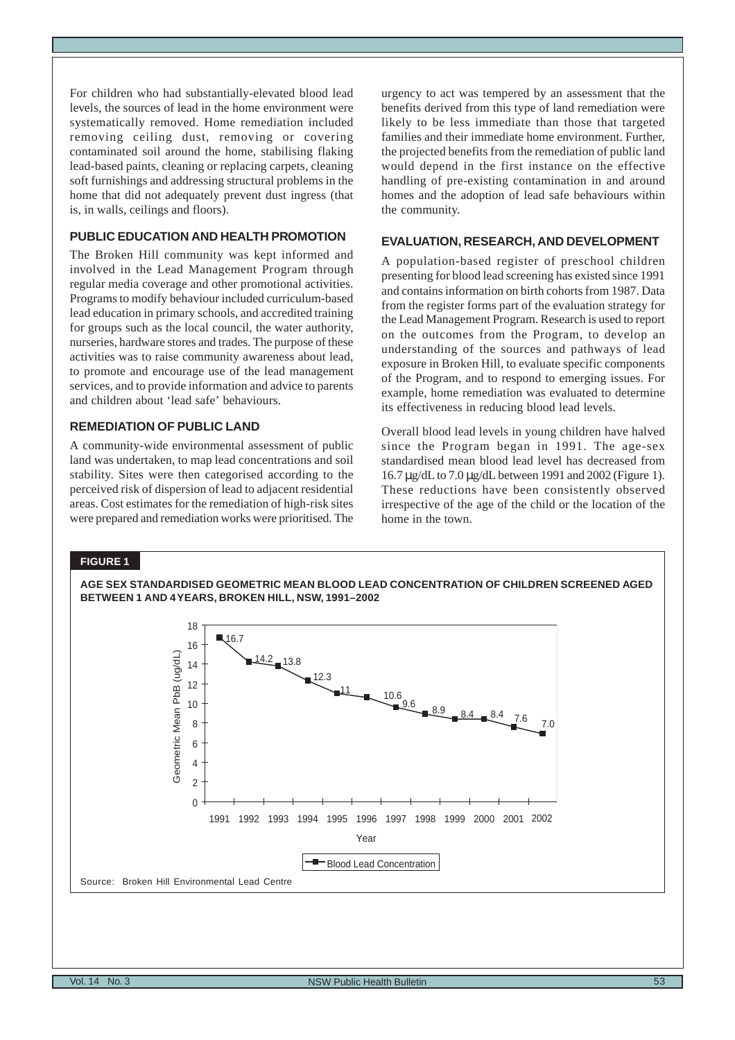For children who had substantially-elevated blood lead levels, the sources of lead in the home environment were systematically removed. Home remediation included removing ceiling dust, removing or covering contaminated soil around the home, stabilising flaking lead-based paints, cleaning or replacing carpets, cleaning soft furnishings and addressing structural problems in the home that did not adequately prevent dust ingress (that is, in walls, ceilings and floors).

# **PUBLIC EDUCATION AND HEALTH PROMOTION**

The Broken Hill community was kept informed and involved in the Lead Management Program through regular media coverage and other promotional activities. Programs to modify behaviour included curriculum-based lead education in primary schools, and accredited training for groups such as the local council, the water authority, nurseries, hardware stores and trades. The purpose of these activities was to raise community awareness about lead, to promote and encourage use of the lead management services, and to provide information and advice to parents and children about 'lead safe' behaviours.

# **REMEDIATION OF PUBLIC LAND**

A community-wide environmental assessment of public land was undertaken, to map lead concentrations and soil stability. Sites were then categorised according to the perceived risk of dispersion of lead to adjacent residential areas. Cost estimates for the remediation of high-risk sites were prepared and remediation works were prioritised. The urgency to act was tempered by an assessment that the benefits derived from this type of land remediation were likely to be less immediate than those that targeted families and their immediate home environment. Further, the projected benefits from the remediation of public land would depend in the first instance on the effective handling of pre-existing contamination in and around homes and the adoption of lead safe behaviours within the community.

#### **EVALUATION, RESEARCH, AND DEVELOPMENT**

A population-based register of preschool children presenting for blood lead screening has existed since 1991 and contains information on birth cohorts from 1987. Data from the register forms part of the evaluation strategy for the Lead Management Program. Research is used to report on the outcomes from the Program, to develop an understanding of the sources and pathways of lead exposure in Broken Hill, to evaluate specific components of the Program, and to respond to emerging issues. For example, home remediation was evaluated to determine its effectiveness in reducing blood lead levels.

Overall blood lead levels in young children have halved since the Program began in 1991. The age-sex standardised mean blood lead level has decreased from 16.7 µg/dL to 7.0 µg/dL between 1991 and 2002 (Figure 1). These reductions have been consistently observed irrespective of the age of the child or the location of the home in the town.

#### **FIGURE 1**

**AGE SEX STANDARDISED GEOMETRIC MEAN BLOOD LEAD CONCENTRATION OF CHILDREN SCREENED AGED BETWEEN 1 AND 4 YEARS, BROKEN HILL, NSW, 1991–2002**

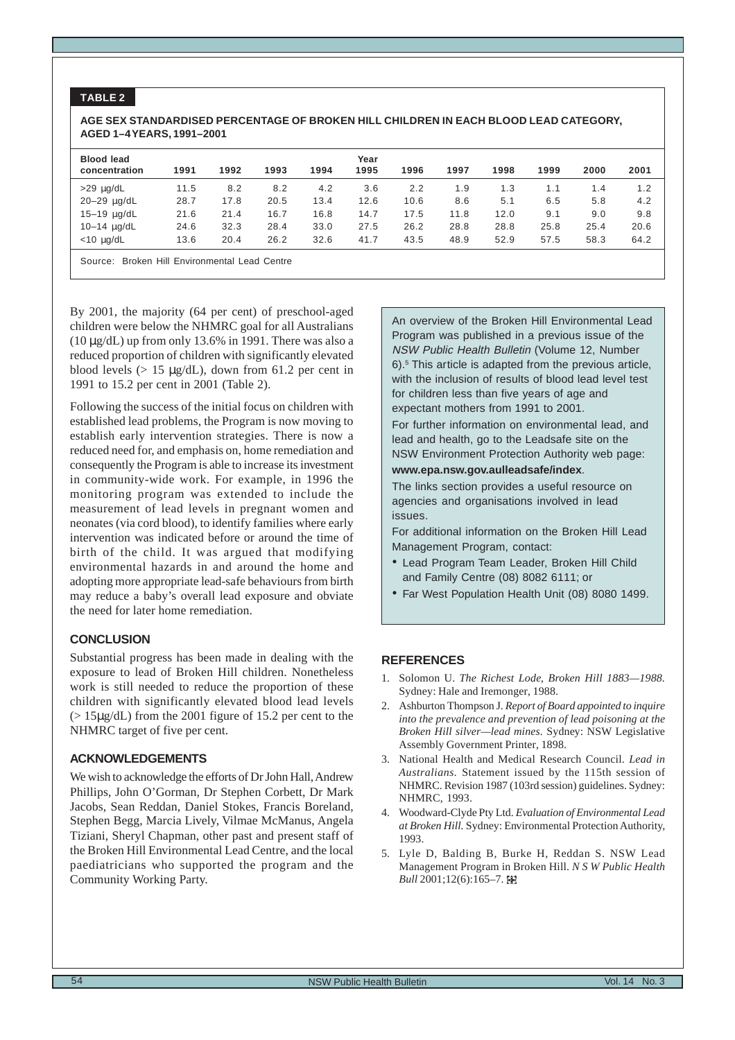# **TABLE 2**

#### **AGE SEX STANDARDISED PERCENTAGE OF BROKEN HILL CHILDREN IN EACH BLOOD LEAD CATEGORY, AGED 1–4 YEARS, 1991–2001**

| <b>Blood lead</b><br>concentration            | 1991 | 1992 | 1993 | 1994 | Year<br>1995 | 1996 | 1997 | 1998 | 1999 | 2000 | 2001 |
|-----------------------------------------------|------|------|------|------|--------------|------|------|------|------|------|------|
| $>29$ $\mu$ g/dL                              | 11.5 | 8.2  | 8.2  | 4.2  | 3.6          | 2.2  | 1.9  | 1.3  | 1.1  | 1.4  | 1.2  |
| 20-29 ug/dL                                   | 28.7 | 17.8 | 20.5 | 13.4 | 12.6         | 10.6 | 8.6  | 5.1  | 6.5  | 5.8  | 4.2  |
| 15-19 ug/dL                                   | 21.6 | 21.4 | 16.7 | 16.8 | 14.7         | 17.5 | 11.8 | 12.0 | 9.1  | 9.0  | 9.8  |
| $10 - 14$ $\mu$ g/dL                          | 24.6 | 32.3 | 28.4 | 33.0 | 27.5         | 26.2 | 28.8 | 28.8 | 25.8 | 25.4 | 20.6 |
| $<$ 10 $\mu$ g/dL                             | 13.6 | 20.4 | 26.2 | 32.6 | 41.7         | 43.5 | 48.9 | 52.9 | 57.5 | 58.3 | 64.2 |
| Source: Broken Hill Environmental Lead Centre |      |      |      |      |              |      |      |      |      |      |      |

By 2001, the majority (64 per cent) of preschool-aged children were below the NHMRC goal for all Australians ( $10 \mu$ g/dL) up from only 13.6% in 1991. There was also a reduced proportion of children with significantly elevated blood levels (> 15 µg/dL), down from 61.2 per cent in 1991 to 15.2 per cent in 2001 (Table 2).

Following the success of the initial focus on children with established lead problems, the Program is now moving to establish early intervention strategies. There is now a reduced need for, and emphasis on, home remediation and consequently the Program is able to increase its investment in community-wide work. For example, in 1996 the monitoring program was extended to include the measurement of lead levels in pregnant women and neonates (via cord blood), to identify families where early intervention was indicated before or around the time of birth of the child. It was argued that modifying environmental hazards in and around the home and adopting more appropriate lead-safe behaviours from birth may reduce a baby's overall lead exposure and obviate the need for later home remediation.

#### **CONCLUSION**

Substantial progress has been made in dealing with the exposure to lead of Broken Hill children. Nonetheless work is still needed to reduce the proportion of these children with significantly elevated blood lead levels  $(> 15\mu g/dL)$  from the 2001 figure of 15.2 per cent to the NHMRC target of five per cent.

#### **ACKNOWLEDGEMENTS**

We wish to acknowledge the efforts of Dr John Hall, Andrew Phillips, John O'Gorman, Dr Stephen Corbett, Dr Mark Jacobs, Sean Reddan, Daniel Stokes, Francis Boreland, Stephen Begg, Marcia Lively, Vilmae McManus, Angela Tiziani, Sheryl Chapman, other past and present staff of the Broken Hill Environmental Lead Centre, and the local paediatricians who supported the program and the Community Working Party.

An overview of the Broken Hill Environmental Lead Program was published in a previous issue of the NSW Public Health Bulletin (Volume 12, Number 6).5 This article is adapted from the previous article, with the inclusion of results of blood lead level test for children less than five years of age and expectant mothers from 1991 to 2001.

For further information on environmental lead, and lead and health, go to the Leadsafe site on the NSW Environment Protection Authority web page:

#### **www.epa.nsw.gov.aulleadsafe/index**.

The links section provides a useful resource on agencies and organisations involved in lead issues.

For additional information on the Broken Hill Lead Management Program, contact:

- Lead Program Team Leader, Broken Hill Child and Family Centre (08) 8082 6111; or
- Far West Population Health Unit (08) 8080 1499.

- 1. Solomon U. *The Richest Lode, Broken Hill 1883—1988.* Sydney: Hale and Iremonger, 1988.
- 2. Ashburton Thompson J. *Report of Board appointed to inquire into the prevalence and prevention of lead poisoning at the Broken Hill silver—lead mines.* Sydney: NSW Legislative Assembly Government Printer, 1898.
- 3. National Health and Medical Research Council. *Lead in Australians.* Statement issued by the 115th session of NHMRC. Revision 1987 (103rd session) guidelines. Sydney: NHMRC, 1993.
- 4. Woodward-Clyde Pty Ltd. *Evaluation of Environmental Lead at Broken Hill.* Sydney: Environmental Protection Authority, 1993.
- 5. Lyle D, Balding B, Burke H, Reddan S. NSW Lead Management Program in Broken Hill. *N S W Public Health Bull* 2001;12(6):165–7.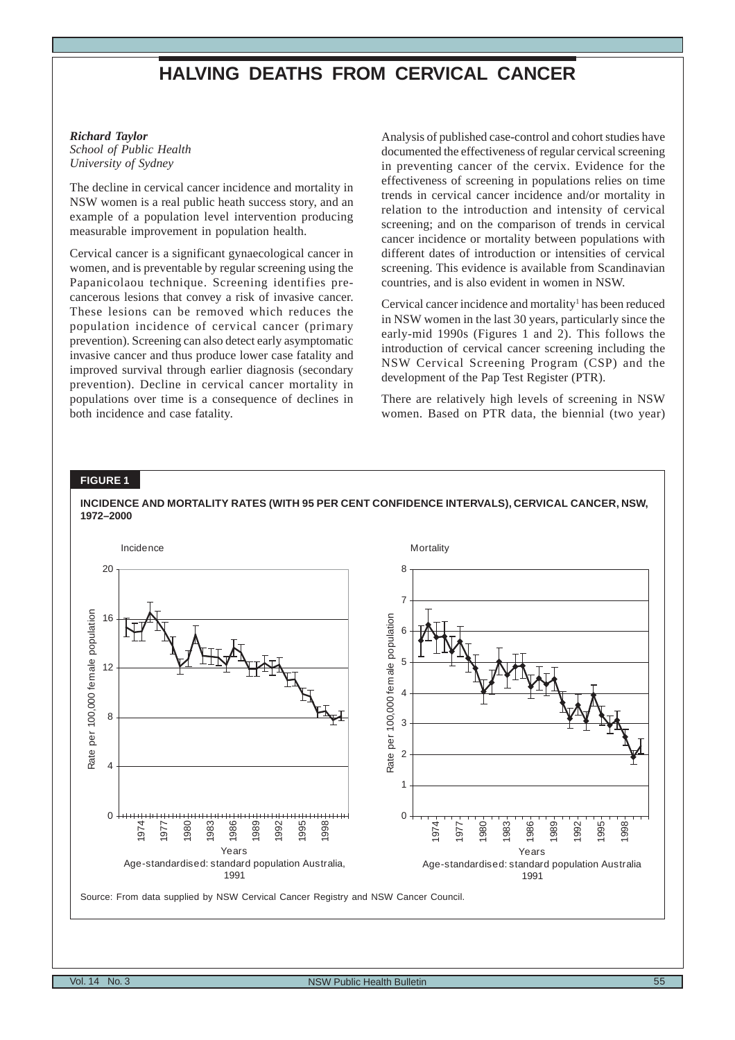# **HALVING DEATHS FROM CERVICAL CANCER**

#### <span id="page-14-0"></span>*Richard Taylor School of Public Health University of Sydney*

The decline in cervical cancer incidence and mortality in NSW women is a real public heath success story, and an example of a population level intervention producing measurable improvement in population health.

Cervical cancer is a significant gynaecological cancer in women, and is preventable by regular screening using the Papanicolaou technique. Screening identifies precancerous lesions that convey a risk of invasive cancer. These lesions can be removed which reduces the population incidence of cervical cancer (primary prevention). Screening can also detect early asymptomatic invasive cancer and thus produce lower case fatality and improved survival through earlier diagnosis (secondary prevention). Decline in cervical cancer mortality in populations over time is a consequence of declines in both incidence and case fatality.

Analysis of published case-control and cohort studies have documented the effectiveness of regular cervical screening in preventing cancer of the cervix. Evidence for the effectiveness of screening in populations relies on time trends in cervical cancer incidence and/or mortality in relation to the introduction and intensity of cervical screening; and on the comparison of trends in cervical cancer incidence or mortality between populations with different dates of introduction or intensities of cervical screening. This evidence is available from Scandinavian countries, and is also evident in women in NSW.

Cervical cancer incidence and mortality<sup>1</sup> has been reduced in NSW women in the last 30 years, particularly since the early-mid 1990s (Figures 1 and 2). This follows the introduction of cervical cancer screening including the NSW Cervical Screening Program (CSP) and the development of the Pap Test Register (PTR).

There are relatively high levels of screening in NSW women. Based on PTR data, the biennial (two year)

## **FIGURE 1**

**1972–2000**



**INCIDENCE AND MORTALITY RATES (WITH 95 PER CENT CONFIDENCE INTERVALS), CERVICAL CANCER, NSW,**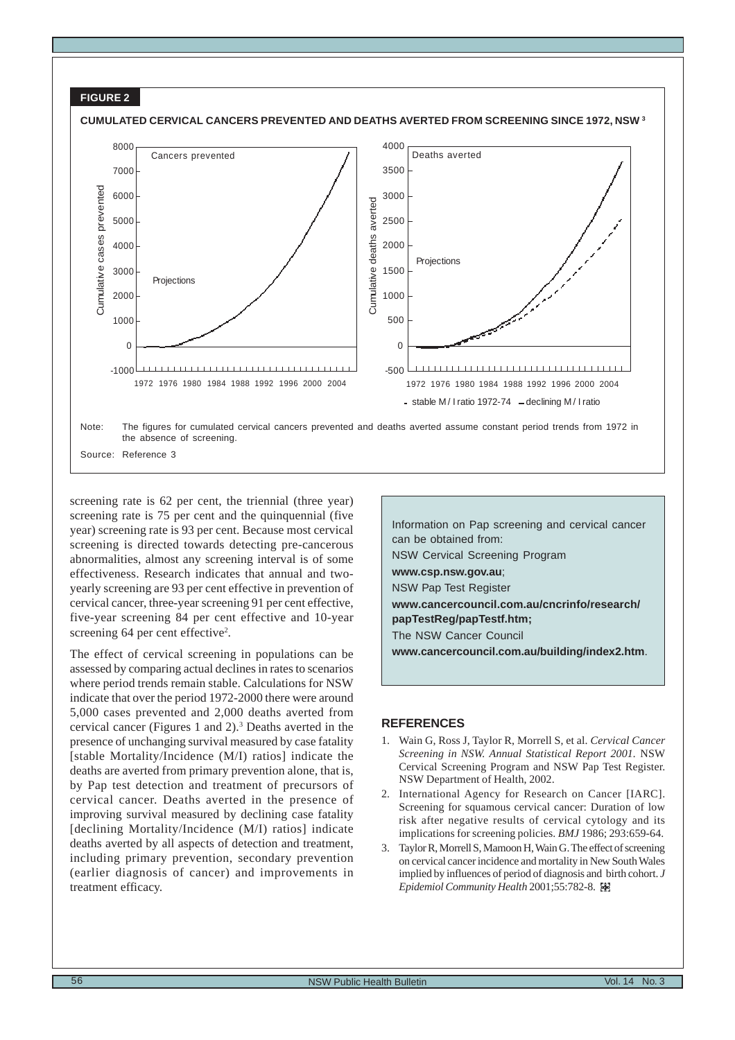

screening rate is 62 per cent, the triennial (three year) screening rate is 75 per cent and the quinquennial (five year) screening rate is 93 per cent. Because most cervical screening is directed towards detecting pre-cancerous abnormalities, almost any screening interval is of some effectiveness. Research indicates that annual and twoyearly screening are 93 per cent effective in prevention of cervical cancer, three-year screening 91 per cent effective, five-year screening 84 per cent effective and 10-year screening 64 per cent effective<sup>2</sup>.

The effect of cervical screening in populations can be assessed by comparing actual declines in rates to scenarios where period trends remain stable. Calculations for NSW indicate that over the period 1972-2000 there were around 5,000 cases prevented and 2,000 deaths averted from cervical cancer (Figures 1 and 2).3 Deaths averted in the presence of unchanging survival measured by case fatality [stable Mortality/Incidence (M/I) ratios] indicate the deaths are averted from primary prevention alone, that is, by Pap test detection and treatment of precursors of cervical cancer. Deaths averted in the presence of improving survival measured by declining case fatality [declining Mortality/Incidence (M/I) ratios] indicate deaths averted by all aspects of detection and treatment, including primary prevention, secondary prevention (earlier diagnosis of cancer) and improvements in treatment efficacy.

Information on Pap screening and cervical cancer can be obtained from: NSW Cervical Screening Program **www.csp.nsw.gov.au**; NSW Pap Test Register **www.cancercouncil.com.au/cncrinfo/research/ papTestReg/papTestf.htm;** The NSW Cancer Council **www.cancercouncil.com.au/building/index2.htm**.

- 1. Wain G, Ross J, Taylor R, Morrell S, et al. *Cervical Cancer Screening in NSW. Annual Statistical Report 2001.* NSW Cervical Screening Program and NSW Pap Test Register. NSW Department of Health, 2002.
- 2. International Agency for Research on Cancer [IARC]. Screening for squamous cervical cancer: Duration of low risk after negative results of cervical cytology and its implications for screening policies. *BMJ* 1986; 293:659-64.
- 3. Taylor R, Morrell S, Mamoon H, Wain G. The effect of screening on cervical cancer incidence and mortality in New South Wales implied by influences of period of diagnosis and birth cohort. *J Epidemiol Community Health* 2001;55:782-8.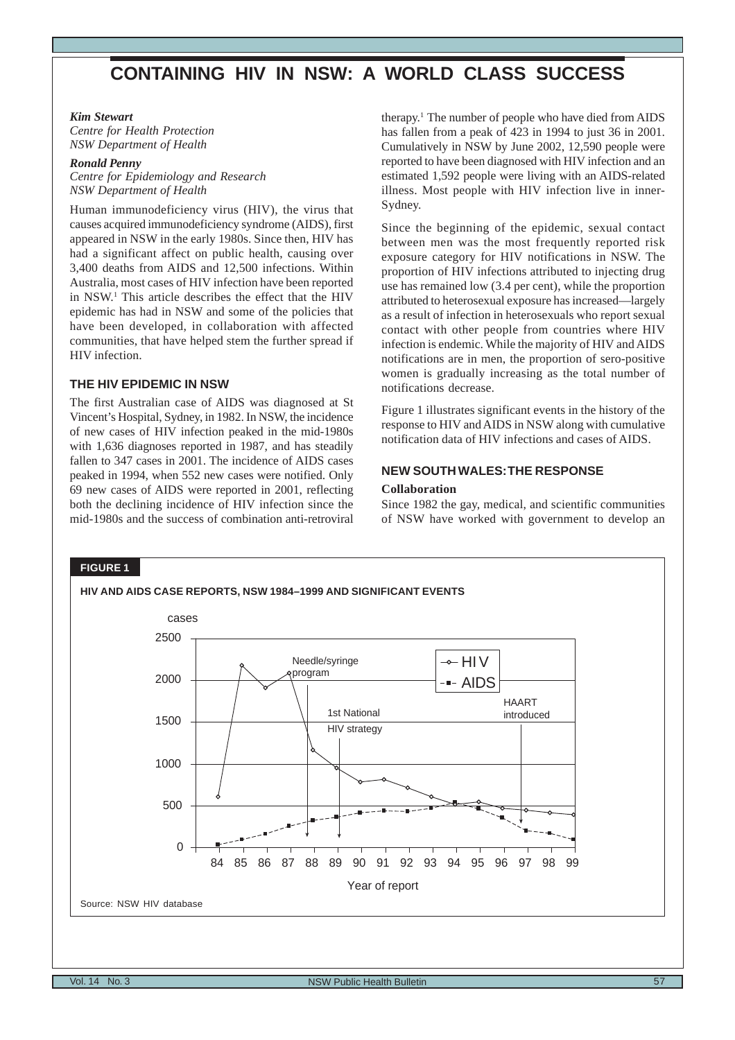# <span id="page-16-0"></span>**CONTAINING HIV IN NSW: A WORLD CLASS SUCCESS**

#### *Kim Stewart*

*Centre for Health Protection NSW Department of Health*

# *Ronald Penny*

*Centre for Epidemiology and Research NSW Department of Health*

Human immunodeficiency virus (HIV), the virus that causes acquired immunodeficiency syndrome (AIDS), first appeared in NSW in the early 1980s. Since then, HIV has had a significant affect on public health, causing over 3,400 deaths from AIDS and 12,500 infections. Within Australia, most cases of HIV infection have been reported in NSW.1 This article describes the effect that the HIV epidemic has had in NSW and some of the policies that have been developed, in collaboration with affected communities, that have helped stem the further spread if HIV infection.

#### **THE HIV EPIDEMIC IN NSW**

The first Australian case of AIDS was diagnosed at St Vincent's Hospital, Sydney, in 1982. In NSW, the incidence of new cases of HIV infection peaked in the mid-1980s with 1,636 diagnoses reported in 1987, and has steadily fallen to 347 cases in 2001. The incidence of AIDS cases peaked in 1994, when 552 new cases were notified. Only 69 new cases of AIDS were reported in 2001, reflecting both the declining incidence of HIV infection since the mid-1980s and the success of combination anti-retroviral therapy.1 The number of people who have died from AIDS has fallen from a peak of 423 in 1994 to just 36 in 2001. Cumulatively in NSW by June 2002, 12,590 people were reported to have been diagnosed with HIV infection and an estimated 1,592 people were living with an AIDS-related illness. Most people with HIV infection live in inner-Sydney.

Since the beginning of the epidemic, sexual contact between men was the most frequently reported risk exposure category for HIV notifications in NSW. The proportion of HIV infections attributed to injecting drug use has remained low (3.4 per cent), while the proportion attributed to heterosexual exposure has increased—largely as a result of infection in heterosexuals who report sexual contact with other people from countries where HIV infection is endemic. While the majority of HIV and AIDS notifications are in men, the proportion of sero-positive women is gradually increasing as the total number of notifications decrease.

Figure 1 illustrates significant events in the history of the response to HIV and AIDS in NSW along with cumulative notification data of HIV infections and cases of AIDS.

# **NEW SOUTH WALES: THE RESPONSE**

#### **Collaboration**

Since 1982 the gay, medical, and scientific communities of NSW have worked with government to develop an

#### **FIGURE 1**

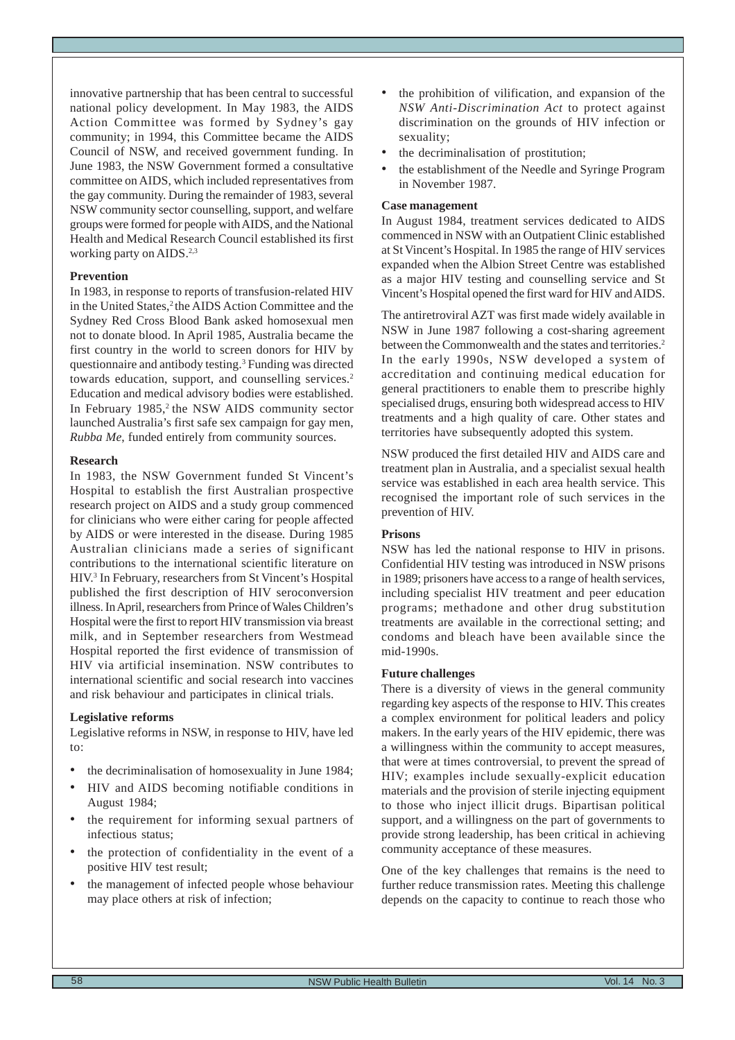innovative partnership that has been central to successful national policy development. In May 1983, the AIDS Action Committee was formed by Sydney's gay community; in 1994, this Committee became the AIDS Council of NSW, and received government funding. In June 1983, the NSW Government formed a consultative committee on AIDS, which included representatives from the gay community. During the remainder of 1983, several NSW community sector counselling, support, and welfare groups were formed for people with AIDS, and the National Health and Medical Research Council established its first working party on AIDS.<sup>2,3</sup>

#### **Prevention**

In 1983, in response to reports of transfusion-related HIV in the United States,<sup>2</sup> the AIDS Action Committee and the Sydney Red Cross Blood Bank asked homosexual men not to donate blood. In April 1985, Australia became the first country in the world to screen donors for HIV by questionnaire and antibody testing.3 Funding was directed towards education, support, and counselling services.<sup>2</sup> Education and medical advisory bodies were established. In February  $1985$ , the NSW AIDS community sector launched Australia's first safe sex campaign for gay men, *Rubba Me*, funded entirely from community sources.

#### **Research**

In 1983, the NSW Government funded St Vincent's Hospital to establish the first Australian prospective research project on AIDS and a study group commenced for clinicians who were either caring for people affected by AIDS or were interested in the disease. During 1985 Australian clinicians made a series of significant contributions to the international scientific literature on HIV.3 In February, researchers from St Vincent's Hospital published the first description of HIV seroconversion illness. In April, researchers from Prince of Wales Children's Hospital were the first to report HIV transmission via breast milk, and in September researchers from Westmead Hospital reported the first evidence of transmission of HIV via artificial insemination. NSW contributes to international scientific and social research into vaccines and risk behaviour and participates in clinical trials.

#### **Legislative reforms**

Legislative reforms in NSW, in response to HIV, have led to:

- the decriminalisation of homosexuality in June 1984;
- HIV and AIDS becoming notifiable conditions in August 1984;
- the requirement for informing sexual partners of infectious status;
- the protection of confidentiality in the event of a positive HIV test result;
- the management of infected people whose behaviour may place others at risk of infection;
- the prohibition of vilification, and expansion of the *NSW Anti-Discrimination Act* to protect against discrimination on the grounds of HIV infection or sexuality;
- the decriminalisation of prostitution;
- the establishment of the Needle and Syringe Program in November 1987.

## **Case management**

In August 1984, treatment services dedicated to AIDS commenced in NSW with an Outpatient Clinic established at St Vincent's Hospital. In 1985 the range of HIV services expanded when the Albion Street Centre was established as a major HIV testing and counselling service and St Vincent's Hospital opened the first ward for HIV and AIDS.

The antiretroviral AZT was first made widely available in NSW in June 1987 following a cost-sharing agreement between the Commonwealth and the states and territories.<sup>2</sup> In the early 1990s, NSW developed a system of accreditation and continuing medical education for general practitioners to enable them to prescribe highly specialised drugs, ensuring both widespread access to HIV treatments and a high quality of care. Other states and territories have subsequently adopted this system.

NSW produced the first detailed HIV and AIDS care and treatment plan in Australia, and a specialist sexual health service was established in each area health service. This recognised the important role of such services in the prevention of HIV.

## **Prisons**

NSW has led the national response to HIV in prisons. Confidential HIV testing was introduced in NSW prisons in 1989; prisoners have access to a range of health services, including specialist HIV treatment and peer education programs; methadone and other drug substitution treatments are available in the correctional setting; and condoms and bleach have been available since the mid-1990s.

# **Future challenges**

There is a diversity of views in the general community regarding key aspects of the response to HIV. This creates a complex environment for political leaders and policy makers. In the early years of the HIV epidemic, there was a willingness within the community to accept measures, that were at times controversial, to prevent the spread of HIV; examples include sexually-explicit education materials and the provision of sterile injecting equipment to those who inject illicit drugs. Bipartisan political support, and a willingness on the part of governments to provide strong leadership, has been critical in achieving community acceptance of these measures.

One of the key challenges that remains is the need to further reduce transmission rates. Meeting this challenge depends on the capacity to continue to reach those who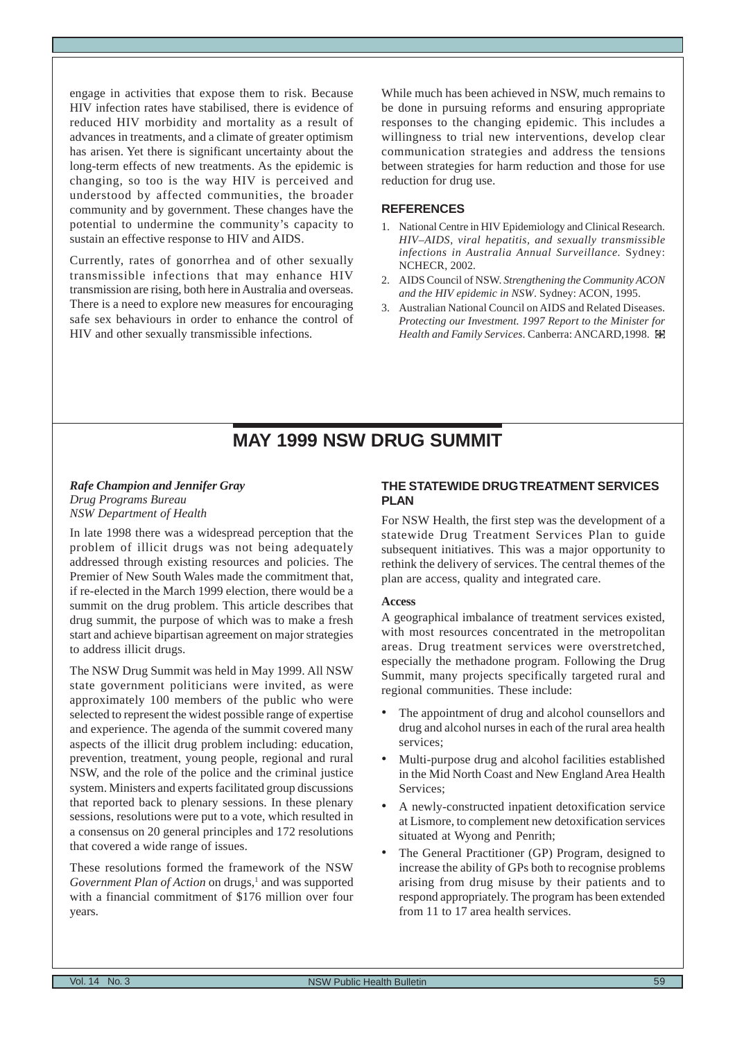<span id="page-18-0"></span>engage in activities that expose them to risk. Because HIV infection rates have stabilised, there is evidence of reduced HIV morbidity and mortality as a result of advances in treatments, and a climate of greater optimism has arisen. Yet there is significant uncertainty about the long-term effects of new treatments. As the epidemic is changing, so too is the way HIV is perceived and understood by affected communities, the broader community and by government. These changes have the potential to undermine the community's capacity to sustain an effective response to HIV and AIDS.

Currently, rates of gonorrhea and of other sexually transmissible infections that may enhance HIV transmission are rising, both here in Australia and overseas. There is a need to explore new measures for encouraging safe sex behaviours in order to enhance the control of HIV and other sexually transmissible infections*.*

While much has been achieved in NSW, much remains to be done in pursuing reforms and ensuring appropriate responses to the changing epidemic. This includes a willingness to trial new interventions, develop clear communication strategies and address the tensions between strategies for harm reduction and those for use reduction for drug use.

#### **REFERENCES**

- 1. National Centre in HIV Epidemiology and Clinical Research. *HIV–AIDS, viral hepatitis, and sexually transmissible infections in Australia Annual Surveillance.* Sydney: NCHECR, 2002*.*
- 2. AIDS Council of NSW. *Strengthening the Community ACON and the HIV epidemic in NSW*. Sydney: ACON, 1995.
- 3. Australian National Council on AIDS and Related Diseases. *Protecting our Investment. 1997 Report to the Minister for Health and Family Services*. Canberra: ANCARD,1998.

# **MAY 1999 NSW DRUG SUMMIT**

#### *Rafe Champion and Jennifer Gray Drug Programs Bureau NSW Department of Health*

In late 1998 there was a widespread perception that the problem of illicit drugs was not being adequately addressed through existing resources and policies. The Premier of New South Wales made the commitment that, if re-elected in the March 1999 election, there would be a summit on the drug problem. This article describes that drug summit, the purpose of which was to make a fresh start and achieve bipartisan agreement on major strategies to address illicit drugs.

The NSW Drug Summit was held in May 1999. All NSW state government politicians were invited, as were approximately 100 members of the public who were selected to represent the widest possible range of expertise and experience. The agenda of the summit covered many aspects of the illicit drug problem including: education, prevention, treatment, young people, regional and rural NSW, and the role of the police and the criminal justice system. Ministers and experts facilitated group discussions that reported back to plenary sessions. In these plenary sessions, resolutions were put to a vote, which resulted in a consensus on 20 general principles and 172 resolutions that covered a wide range of issues.

These resolutions formed the framework of the NSW Government Plan of Action on drugs,<sup>1</sup> and was supported with a financial commitment of \$176 million over four years.

# **THE STATEWIDE DRUG TREATMENT SERVICES PLAN**

For NSW Health, the first step was the development of a statewide Drug Treatment Services Plan to guide subsequent initiatives. This was a major opportunity to rethink the delivery of services. The central themes of the plan are access, quality and integrated care.

#### **Access**

A geographical imbalance of treatment services existed, with most resources concentrated in the metropolitan areas. Drug treatment services were overstretched, especially the methadone program. Following the Drug Summit, many projects specifically targeted rural and regional communities. These include:

- The appointment of drug and alcohol counsellors and drug and alcohol nurses in each of the rural area health services;
- Multi-purpose drug and alcohol facilities established in the Mid North Coast and New England Area Health Services;
- A newly-constructed inpatient detoxification service at Lismore, to complement new detoxification services situated at Wyong and Penrith;
- The General Practitioner (GP) Program, designed to increase the ability of GPs both to recognise problems arising from drug misuse by their patients and to respond appropriately. The program has been extended from 11 to 17 area health services.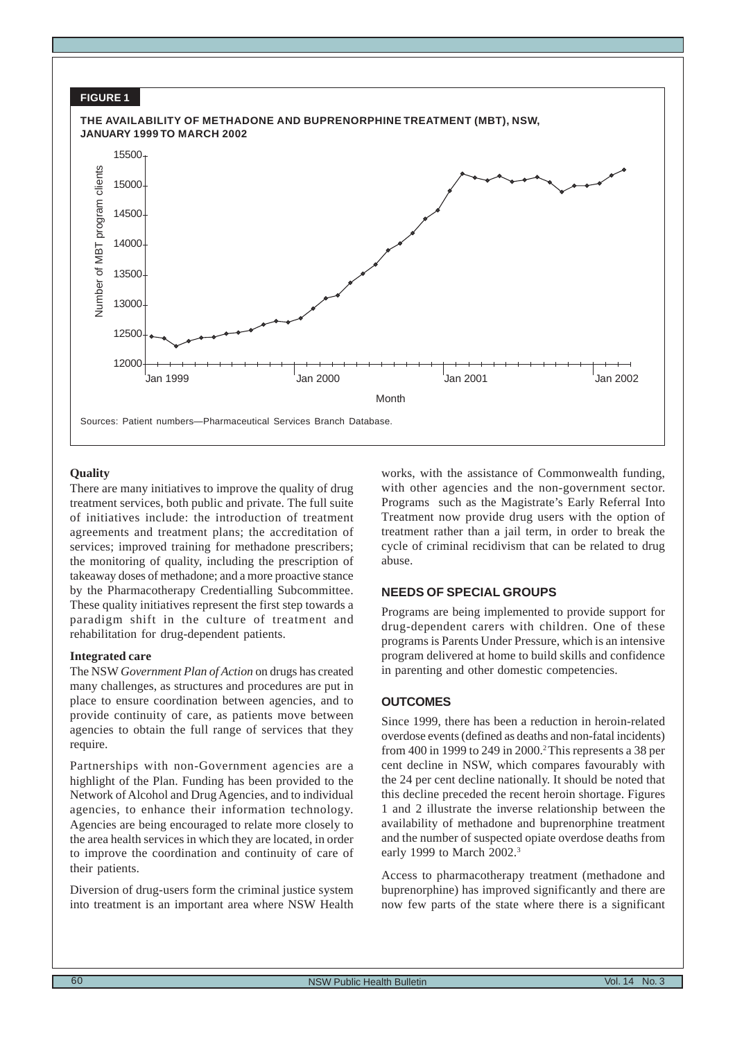

# **Quality**

There are many initiatives to improve the quality of drug treatment services, both public and private. The full suite of initiatives include: the introduction of treatment agreements and treatment plans; the accreditation of services; improved training for methadone prescribers; the monitoring of quality, including the prescription of takeaway doses of methadone; and a more proactive stance by the Pharmacotherapy Credentialling Subcommittee. These quality initiatives represent the first step towards a paradigm shift in the culture of treatment and rehabilitation for drug-dependent patients.

#### **Integrated care**

The NSW *Government Plan of Action* on drugs has created many challenges, as structures and procedures are put in place to ensure coordination between agencies, and to provide continuity of care, as patients move between agencies to obtain the full range of services that they require.

Partnerships with non-Government agencies are a highlight of the Plan. Funding has been provided to the Network of Alcohol and Drug Agencies, and to individual agencies, to enhance their information technology. Agencies are being encouraged to relate more closely to the area health services in which they are located, in order to improve the coordination and continuity of care of their patients.

Diversion of drug-users form the criminal justice system into treatment is an important area where NSW Health

works, with the assistance of Commonwealth funding, with other agencies and the non-government sector. Programs such as the Magistrate's Early Referral Into Treatment now provide drug users with the option of treatment rather than a jail term, in order to break the cycle of criminal recidivism that can be related to drug abuse.

# **NEEDS OF SPECIAL GROUPS**

Programs are being implemented to provide support for drug-dependent carers with children. One of these programs is Parents Under Pressure, which is an intensive program delivered at home to build skills and confidence in parenting and other domestic competencies.

# **OUTCOMES**

Since 1999, there has been a reduction in heroin-related overdose events (defined as deaths and non-fatal incidents) from 400 in 1999 to 249 in 2000.2 This represents a 38 per cent decline in NSW, which compares favourably with the 24 per cent decline nationally. It should be noted that this decline preceded the recent heroin shortage. Figures 1 and 2 illustrate the inverse relationship between the availability of methadone and buprenorphine treatment and the number of suspected opiate overdose deaths from early 1999 to March 2002.3

Access to pharmacotherapy treatment (methadone and buprenorphine) has improved significantly and there are now few parts of the state where there is a significant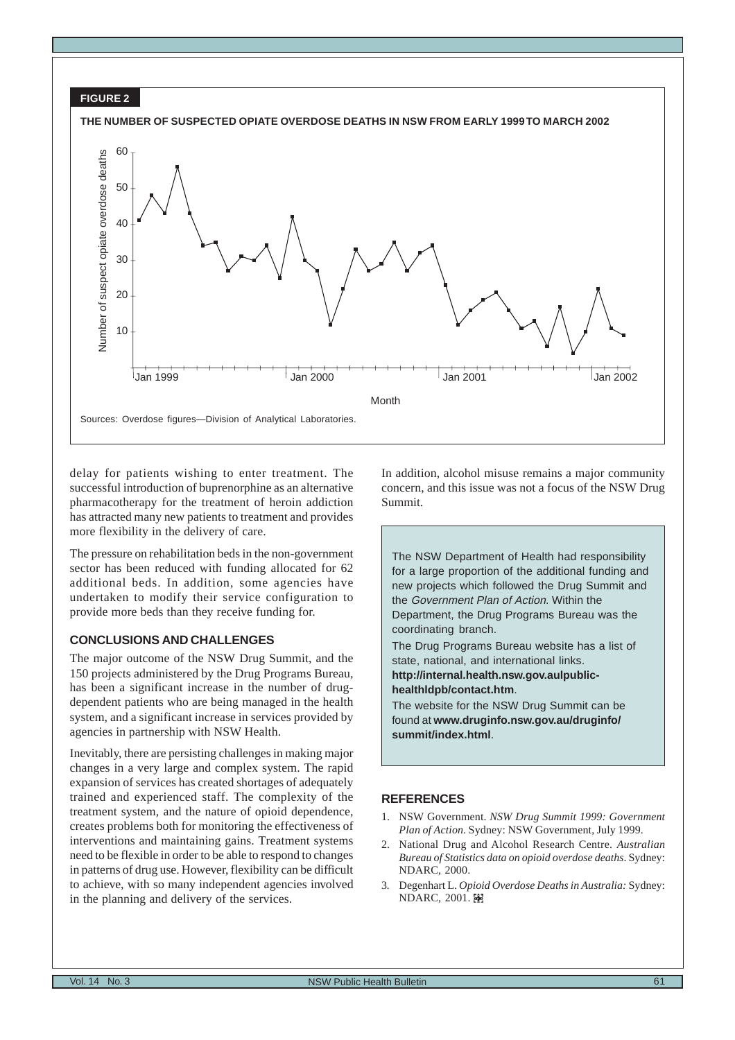

delay for patients wishing to enter treatment. The successful introduction of buprenorphine as an alternative pharmacotherapy for the treatment of heroin addiction has attracted many new patients to treatment and provides more flexibility in the delivery of care.

The pressure on rehabilitation beds in the non-government sector has been reduced with funding allocated for 62 additional beds. In addition, some agencies have undertaken to modify their service configuration to provide more beds than they receive funding for.

# **CONCLUSIONS AND CHALLENGES**

The major outcome of the NSW Drug Summit, and the 150 projects administered by the Drug Programs Bureau, has been a significant increase in the number of drugdependent patients who are being managed in the health system, and a significant increase in services provided by agencies in partnership with NSW Health.

Inevitably, there are persisting challenges in making major changes in a very large and complex system. The rapid expansion of services has created shortages of adequately trained and experienced staff. The complexity of the treatment system, and the nature of opioid dependence, creates problems both for monitoring the effectiveness of interventions and maintaining gains. Treatment systems need to be flexible in order to be able to respond to changes in patterns of drug use. However, flexibility can be difficult to achieve, with so many independent agencies involved in the planning and delivery of the services.

In addition, alcohol misuse remains a major community concern, and this issue was not a focus of the NSW Drug Summit.

The NSW Department of Health had responsibility for a large proportion of the additional funding and new projects which followed the Drug Summit and the Government Plan of Action. Within the Department, the Drug Programs Bureau was the coordinating branch.

The Drug Programs Bureau website has a list of state, national, and international links.

**http://internal.health.nsw.gov.aulpublichealthldpb/contact.htm**.

The website for the NSW Drug Summit can be found at **www.druginfo.nsw.gov.au/druginfo/ summit/index.html**.

- 1. NSW Government. *NSW Drug Summit 1999: Government Plan of Action*. Sydney: NSW Government, July 1999.
- 2. National Drug and Alcohol Research Centre. *Australian Bureau of Statistics data on opioid overdose deaths*. Sydney: NDARC, 2000.
- 3*.* Degenhart L. *Opioid Overdose Deaths in Australia:* Sydney: **NDARC, 2001. 图**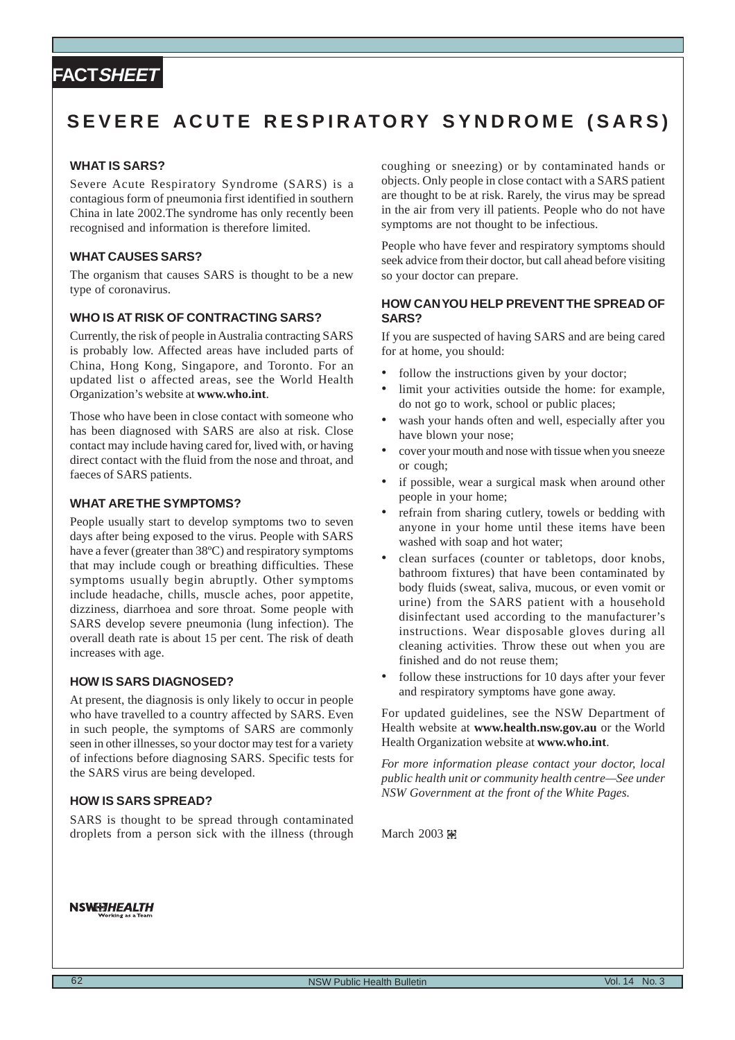# <span id="page-21-0"></span>**FACTSHEET**

# **SEVERE ACUTE RESPIRATORY SYNDROME (SARS)**

# **WHAT IS SARS?**

Severe Acute Respiratory Syndrome (SARS) is a contagious form of pneumonia first identified in southern China in late 2002.The syndrome has only recently been recognised and information is therefore limited.

# **WHAT CAUSES SARS?**

The organism that causes SARS is thought to be a new type of coronavirus.

# **WHO IS AT RISK OF CONTRACTING SARS?**

Currently, the risk of people in Australia contracting SARS is probably low. Affected areas have included parts of China, Hong Kong, Singapore, and Toronto. For an updated list o affected areas, see the World Health Organization's website at **www.who.int**.

Those who have been in close contact with someone who has been diagnosed with SARS are also at risk. Close contact may include having cared for, lived with, or having direct contact with the fluid from the nose and throat, and faeces of SARS patients.

# **WHAT ARE THE SYMPTOMS?**

People usually start to develop symptoms two to seven days after being exposed to the virus. People with SARS have a fever (greater than 38ºC) and respiratory symptoms that may include cough or breathing difficulties. These symptoms usually begin abruptly. Other symptoms include headache, chills, muscle aches, poor appetite, dizziness, diarrhoea and sore throat. Some people with SARS develop severe pneumonia (lung infection). The overall death rate is about 15 per cent. The risk of death increases with age.

### **HOW IS SARS DIAGNOSED?**

At present, the diagnosis is only likely to occur in people who have travelled to a country affected by SARS. Even in such people, the symptoms of SARS are commonly seen in other illnesses, so your doctor may test for a variety of infections before diagnosing SARS. Specific tests for the SARS virus are being developed.

#### **HOW IS SARS SPREAD?**

SARS is thought to be spread through contaminated droplets from a person sick with the illness (through coughing or sneezing) or by contaminated hands or objects. Only people in close contact with a SARS patient are thought to be at risk. Rarely, the virus may be spread in the air from very ill patients. People who do not have symptoms are not thought to be infectious.

People who have fever and respiratory symptoms should seek advice from their doctor, but call ahead before visiting so your doctor can prepare.

# **HOW CAN YOU HELP PREVENT THE SPREAD OF SARS?**

If you are suspected of having SARS and are being cared for at home, you should:

- follow the instructions given by your doctor;
- limit your activities outside the home: for example, do not go to work, school or public places;
- wash your hands often and well, especially after you have blown your nose;
- cover your mouth and nose with tissue when you sneeze or cough;
- if possible, wear a surgical mask when around other people in your home;
- refrain from sharing cutlery, towels or bedding with anyone in your home until these items have been washed with soap and hot water;
- clean surfaces (counter or tabletops, door knobs, bathroom fixtures) that have been contaminated by body fluids (sweat, saliva, mucous, or even vomit or urine) from the SARS patient with a household disinfectant used according to the manufacturer's instructions. Wear disposable gloves during all cleaning activities. Throw these out when you are finished and do not reuse them;
- follow these instructions for 10 days after your fever and respiratory symptoms have gone away.

For updated guidelines, see the NSW Department of Health website at **www.health.nsw.gov.au** or the World Health Organization website at **www.who.int**.

*For more information please contact your doctor, local public health unit or community health centre—See under NSW Government at the front of the White Pages.*

March 2003 匿

#### **NSWEEHEALTH**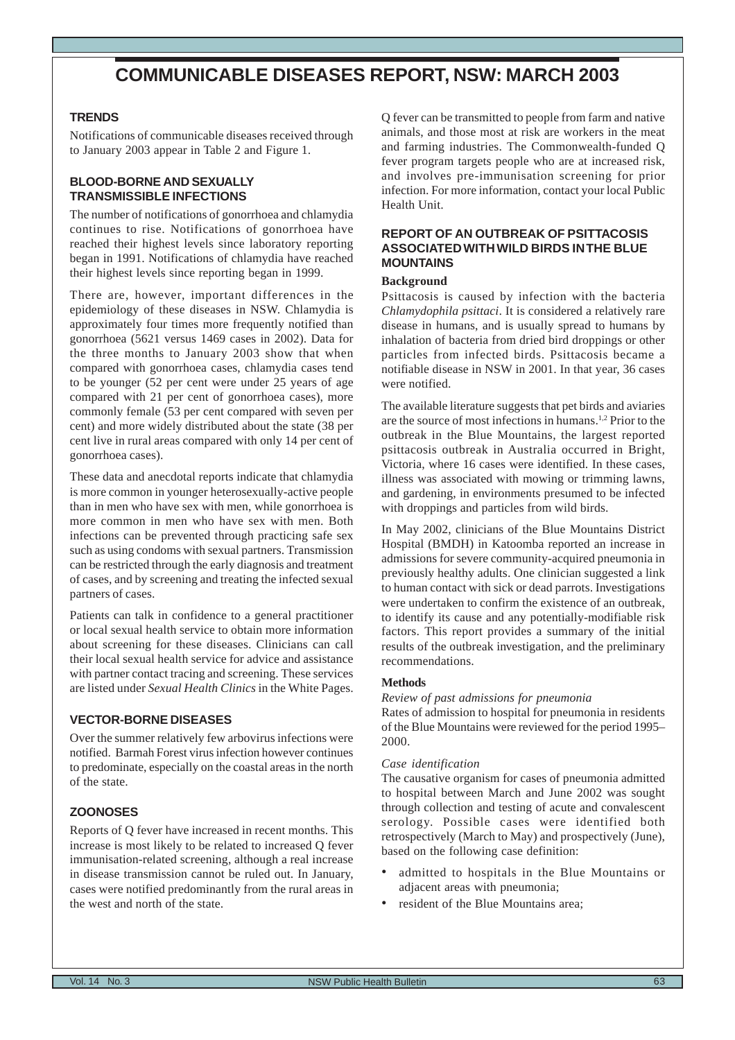# **COMMUNICABLE DISEASES REPORT, NSW: MARCH 2003**

# <span id="page-22-0"></span>**TRENDS**

Notifications of communicable diseases received through to January 2003 appear in Table 2 and Figure 1.

# **BLOOD-BORNE AND SEXUALLY TRANSMISSIBLE INFECTIONS**

The number of notifications of gonorrhoea and chlamydia continues to rise. Notifications of gonorrhoea have reached their highest levels since laboratory reporting began in 1991. Notifications of chlamydia have reached their highest levels since reporting began in 1999.

There are, however, important differences in the epidemiology of these diseases in NSW. Chlamydia is approximately four times more frequently notified than gonorrhoea (5621 versus 1469 cases in 2002). Data for the three months to January 2003 show that when compared with gonorrhoea cases, chlamydia cases tend to be younger (52 per cent were under 25 years of age compared with 21 per cent of gonorrhoea cases), more commonly female (53 per cent compared with seven per cent) and more widely distributed about the state (38 per cent live in rural areas compared with only 14 per cent of gonorrhoea cases).

These data and anecdotal reports indicate that chlamydia is more common in younger heterosexually-active people than in men who have sex with men, while gonorrhoea is more common in men who have sex with men. Both infections can be prevented through practicing safe sex such as using condoms with sexual partners. Transmission can be restricted through the early diagnosis and treatment of cases, and by screening and treating the infected sexual partners of cases.

Patients can talk in confidence to a general practitioner or local sexual health service to obtain more information about screening for these diseases. Clinicians can call their local sexual health service for advice and assistance with partner contact tracing and screening. These services are listed under *Sexual Health Clinics* in the White Pages.

# **VECTOR-BORNE DISEASES**

Over the summer relatively few arbovirus infections were notified. Barmah Forest virus infection however continues to predominate, especially on the coastal areas in the north of the state.

# **ZOONOSES**

Reports of Q fever have increased in recent months. This increase is most likely to be related to increased Q fever immunisation-related screening, although a real increase in disease transmission cannot be ruled out. In January, cases were notified predominantly from the rural areas in the west and north of the state.

Q fever can be transmitted to people from farm and native animals, and those most at risk are workers in the meat and farming industries. The Commonwealth-funded Q fever program targets people who are at increased risk, and involves pre-immunisation screening for prior infection. For more information, contact your local Public Health Unit.

# **REPORT OF AN OUTBREAK OF PSITTACOSIS ASSOCIATED WITH WILD BIRDS IN THE BLUE MOUNTAINS**

#### **Background**

Psittacosis is caused by infection with the bacteria *Chlamydophila psittaci*. It is considered a relatively rare disease in humans, and is usually spread to humans by inhalation of bacteria from dried bird droppings or other particles from infected birds. Psittacosis became a notifiable disease in NSW in 2001. In that year, 36 cases were notified.

The available literature suggests that pet birds and aviaries are the source of most infections in humans.1,2 Prior to the outbreak in the Blue Mountains, the largest reported psittacosis outbreak in Australia occurred in Bright, Victoria, where 16 cases were identified. In these cases, illness was associated with mowing or trimming lawns, and gardening, in environments presumed to be infected with droppings and particles from wild birds.

In May 2002, clinicians of the Blue Mountains District Hospital (BMDH) in Katoomba reported an increase in admissions for severe community-acquired pneumonia in previously healthy adults. One clinician suggested a link to human contact with sick or dead parrots. Investigations were undertaken to confirm the existence of an outbreak, to identify its cause and any potentially-modifiable risk factors. This report provides a summary of the initial results of the outbreak investigation, and the preliminary recommendations.

#### **Methods**

*Review of past admissions for pneumonia*

Rates of admission to hospital for pneumonia in residents of the Blue Mountains were reviewed for the period 1995– 2000.

#### *Case identification*

The causative organism for cases of pneumonia admitted to hospital between March and June 2002 was sought through collection and testing of acute and convalescent serology. Possible cases were identified both retrospectively (March to May) and prospectively (June), based on the following case definition:

- admitted to hospitals in the Blue Mountains or adjacent areas with pneumonia;
- resident of the Blue Mountains area: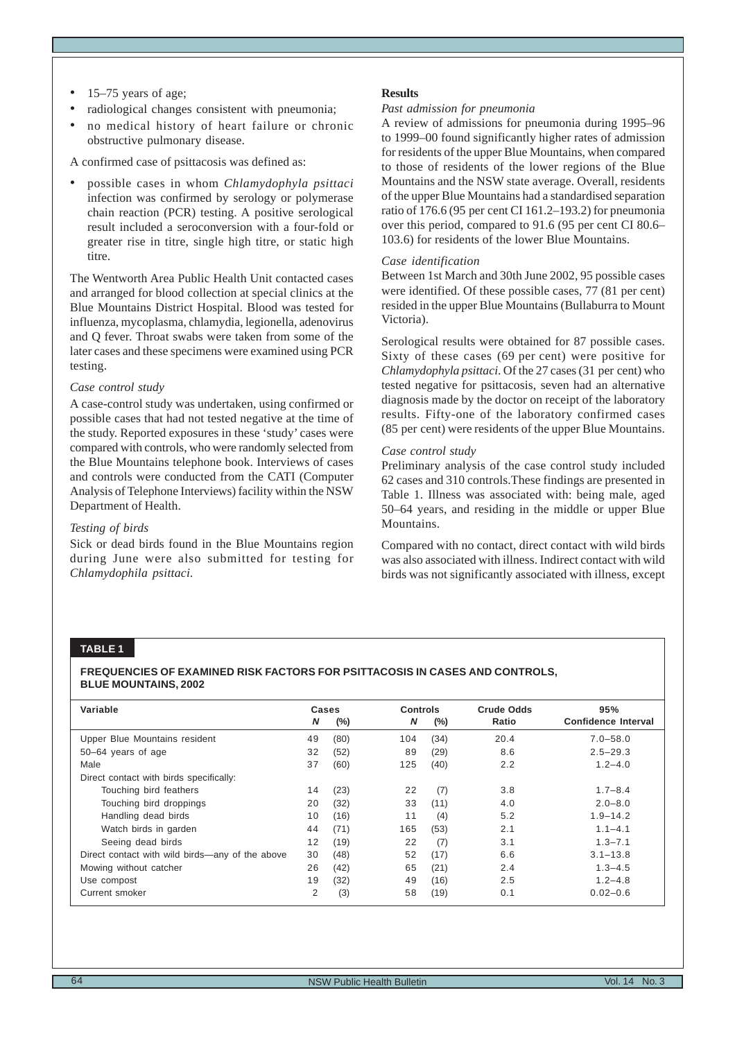- 15–75 years of age;
- radiological changes consistent with pneumonia;
- no medical history of heart failure or chronic obstructive pulmonary disease.

A confirmed case of psittacosis was defined as:

• possible cases in whom *Chlamydophyla psittaci* infection was confirmed by serology or polymerase chain reaction (PCR) testing. A positive serological result included a seroconversion with a four-fold or greater rise in titre, single high titre, or static high titre.

The Wentworth Area Public Health Unit contacted cases and arranged for blood collection at special clinics at the Blue Mountains District Hospital. Blood was tested for influenza, mycoplasma, chlamydia, legionella, adenovirus and Q fever. Throat swabs were taken from some of the later cases and these specimens were examined using PCR testing.

#### *Case control study*

A case-control study was undertaken, using confirmed or possible cases that had not tested negative at the time of the study. Reported exposures in these 'study' cases were compared with controls, who were randomly selected from the Blue Mountains telephone book. Interviews of cases and controls were conducted from the CATI (Computer Analysis of Telephone Interviews) facility within the NSW Department of Health.

# *Testing of birds*

Sick or dead birds found in the Blue Mountains region during June were also submitted for testing for *Chlamydophila psittaci*.

## **Results**

### *Past admission for pneumonia*

A review of admissions for pneumonia during 1995–96 to 1999–00 found significantly higher rates of admission for residents of the upper Blue Mountains, when compared to those of residents of the lower regions of the Blue Mountains and the NSW state average. Overall, residents of the upper Blue Mountains had a standardised separation ratio of 176.6 (95 per cent CI 161.2–193.2) for pneumonia over this period, compared to 91.6 (95 per cent CI 80.6– 103.6) for residents of the lower Blue Mountains.

#### *Case identification*

Between 1st March and 30th June 2002, 95 possible cases were identified. Of these possible cases, 77 (81 per cent) resided in the upper Blue Mountains (Bullaburra to Mount Victoria).

Serological results were obtained for 87 possible cases. Sixty of these cases (69 per cent) were positive for *Chlamydophyla psittaci*. Of the 27 cases (31 per cent) who tested negative for psittacosis, seven had an alternative diagnosis made by the doctor on receipt of the laboratory results. Fifty-one of the laboratory confirmed cases (85 per cent) were residents of the upper Blue Mountains.

# *Case control study*

Preliminary analysis of the case control study included 62 cases and 310 controls.These findings are presented in Table 1. Illness was associated with: being male, aged 50–64 years, and residing in the middle or upper Blue Mountains.

Compared with no contact, direct contact with wild birds was also associated with illness. Indirect contact with wild birds was not significantly associated with illness, except

# **TABLE 1**

#### **FREQUENCIES OF EXAMINED RISK FACTORS FOR PSITTACOSIS IN CASES AND CONTROLS, BLUE MOUNTAINS, 2002**

| Variable                                        | N  | Cases<br>$(\%)$ | <b>Controls</b><br>N | $(\%)$ | <b>Crude Odds</b><br>Ratio | 95%<br>Confidence Interval |
|-------------------------------------------------|----|-----------------|----------------------|--------|----------------------------|----------------------------|
|                                                 |    |                 |                      |        |                            |                            |
| Upper Blue Mountains resident                   | 49 | (80)            | 104                  | (34)   | 20.4                       | $7.0 - 58.0$               |
| 50-64 years of age                              | 32 | (52)            | 89                   | (29)   | 8.6                        | $2.5 - 29.3$               |
| Male                                            | 37 | (60)            | 125                  | (40)   | 2.2                        | $1.2 - 4.0$                |
| Direct contact with birds specifically:         |    |                 |                      |        |                            |                            |
| Touching bird feathers                          | 14 | (23)            | 22                   | (7)    | 3.8                        | $1.7 - 8.4$                |
| Touching bird droppings                         | 20 | (32)            | 33                   | (11)   | 4.0                        | $2.0 - 8.0$                |
| Handling dead birds                             | 10 | (16)            | 11                   | (4)    | 5.2                        | $1.9 - 14.2$               |
| Watch birds in garden                           | 44 | (71)            | 165                  | (53)   | 2.1                        | $1.1 - 4.1$                |
| Seeing dead birds                               | 12 | (19)            | 22                   | (7)    | 3.1                        | $1.3 - 7.1$                |
| Direct contact with wild birds—any of the above | 30 | (48)            | 52                   | (17)   | 6.6                        | $3.1 - 13.8$               |
| Mowing without catcher                          | 26 | (42)            | 65                   | (21)   | 2.4                        | $1.3 - 4.5$                |
| Use compost                                     | 19 | (32)            | 49                   | (16)   | 2.5                        | $1.2 - 4.8$                |
| Current smoker                                  | 2  | (3)             | 58                   | (19)   | 0.1                        | $0.02 - 0.6$               |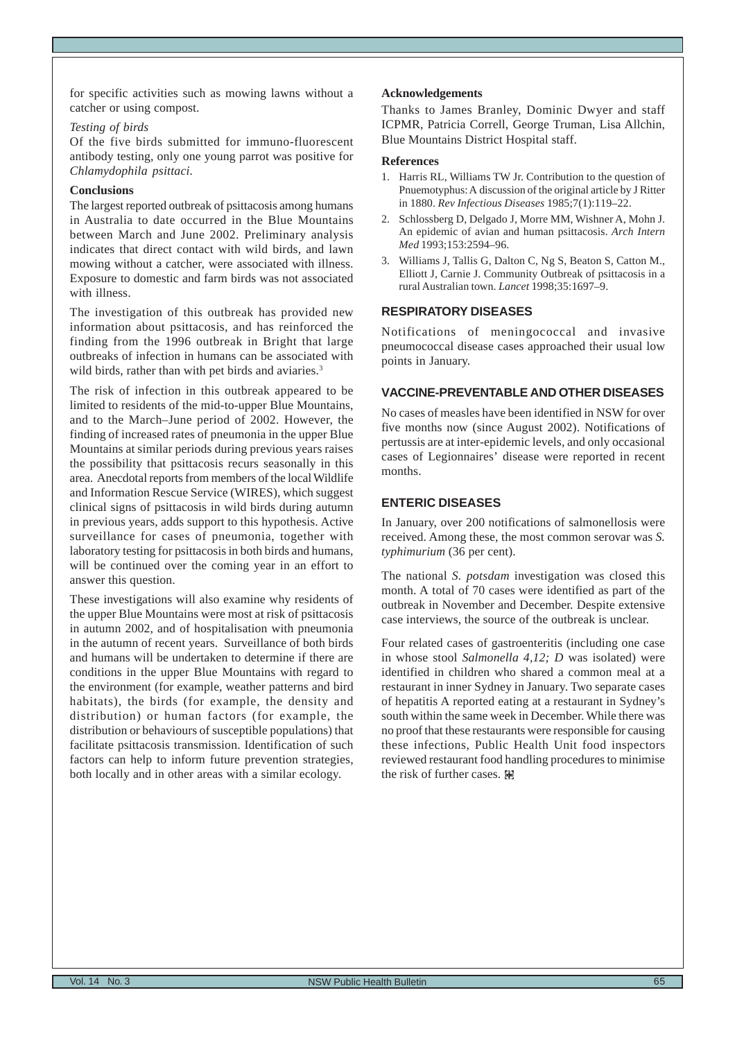for specific activities such as mowing lawns without a catcher or using compost.

#### *Testing of birds*

Of the five birds submitted for immuno-fluorescent antibody testing, only one young parrot was positive for *Chlamydophila psittaci.*

## **Conclusions**

The largest reported outbreak of psittacosis among humans in Australia to date occurred in the Blue Mountains between March and June 2002. Preliminary analysis indicates that direct contact with wild birds, and lawn mowing without a catcher, were associated with illness. Exposure to domestic and farm birds was not associated with illness.

The investigation of this outbreak has provided new information about psittacosis, and has reinforced the finding from the 1996 outbreak in Bright that large outbreaks of infection in humans can be associated with wild birds, rather than with pet birds and aviaries.<sup>3</sup>

The risk of infection in this outbreak appeared to be limited to residents of the mid-to-upper Blue Mountains, and to the March–June period of 2002. However, the finding of increased rates of pneumonia in the upper Blue Mountains at similar periods during previous years raises the possibility that psittacosis recurs seasonally in this area. Anecdotal reports from members of the local Wildlife and Information Rescue Service (WIRES), which suggest clinical signs of psittacosis in wild birds during autumn in previous years, adds support to this hypothesis. Active surveillance for cases of pneumonia, together with laboratory testing for psittacosis in both birds and humans, will be continued over the coming year in an effort to answer this question.

These investigations will also examine why residents of the upper Blue Mountains were most at risk of psittacosis in autumn 2002, and of hospitalisation with pneumonia in the autumn of recent years. Surveillance of both birds and humans will be undertaken to determine if there are conditions in the upper Blue Mountains with regard to the environment (for example, weather patterns and bird habitats), the birds (for example, the density and distribution) or human factors (for example, the distribution or behaviours of susceptible populations) that facilitate psittacosis transmission. Identification of such factors can help to inform future prevention strategies, both locally and in other areas with a similar ecology.

## **Acknowledgements**

Thanks to James Branley, Dominic Dwyer and staff ICPMR, Patricia Correll, George Truman, Lisa Allchin, Blue Mountains District Hospital staff.

#### **References**

- 1. Harris RL, Williams TW Jr. Contribution to the question of Pnuemotyphus: A discussion of the original article by J Ritter in 1880. *Rev Infectious Diseases* 1985;7(1):119–22.
- 2. Schlossberg D, Delgado J, Morre MM, Wishner A, Mohn J. An epidemic of avian and human psittacosis. *Arch Intern Med* 1993;153:2594–96.
- 3. Williams J, Tallis G, Dalton C, Ng S, Beaton S, Catton M., Elliott J, Carnie J. Community Outbreak of psittacosis in a rural Australian town. *Lancet* 1998;35:1697–9.

# **RESPIRATORY DISEASES**

Notifications of meningococcal and invasive pneumococcal disease cases approached their usual low points in January.

# **VACCINE-PREVENTABLE AND OTHER DISEASES**

No cases of measles have been identified in NSW for over five months now (since August 2002). Notifications of pertussis are at inter-epidemic levels, and only occasional cases of Legionnaires' disease were reported in recent months.

# **ENTERIC DISEASES**

In January, over 200 notifications of salmonellosis were received. Among these, the most common serovar was *S. typhimurium* (36 per cent).

The national *S. potsdam* investigation was closed this month. A total of 70 cases were identified as part of the outbreak in November and December. Despite extensive case interviews, the source of the outbreak is unclear.

Four related cases of gastroenteritis (including one case in whose stool *Salmonella 4,12; D* was isolated) were identified in children who shared a common meal at a restaurant in inner Sydney in January. Two separate cases of hepatitis A reported eating at a restaurant in Sydney's south within the same week in December. While there was no proof that these restaurants were responsible for causing these infections, Public Health Unit food inspectors reviewed restaurant food handling procedures to minimise the risk of further cases. 图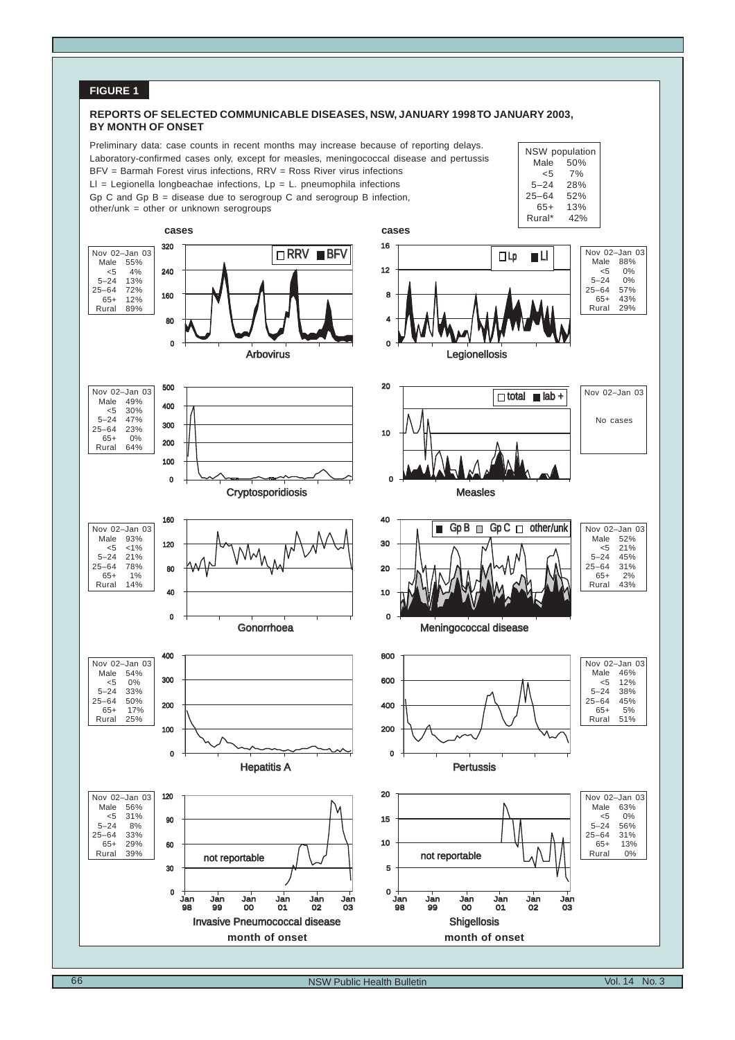# **FIGURE 1**

#### **REPORTS OF SELECTED COMMUNICABLE DISEASES, NSW, JANUARY 1998 TO JANUARY 2003, BY MONTH OF ONSET**

NSW population Male  $50\%$ <br> $<5$  7% 7%<br>28%

 $5 - 24$ 25–64 52% 65+ 13%

Preliminary data: case counts in recent months may increase because of reporting delays. Laboratory-confirmed cases only, except for measles, meningococcal disease and pertussis BFV = Barmah Forest virus infections, RRV = Ross River virus infections



Gp C and Gp B = disease due to serogroup C and serogroup B infection,

other/unk = other or unknown serogroups

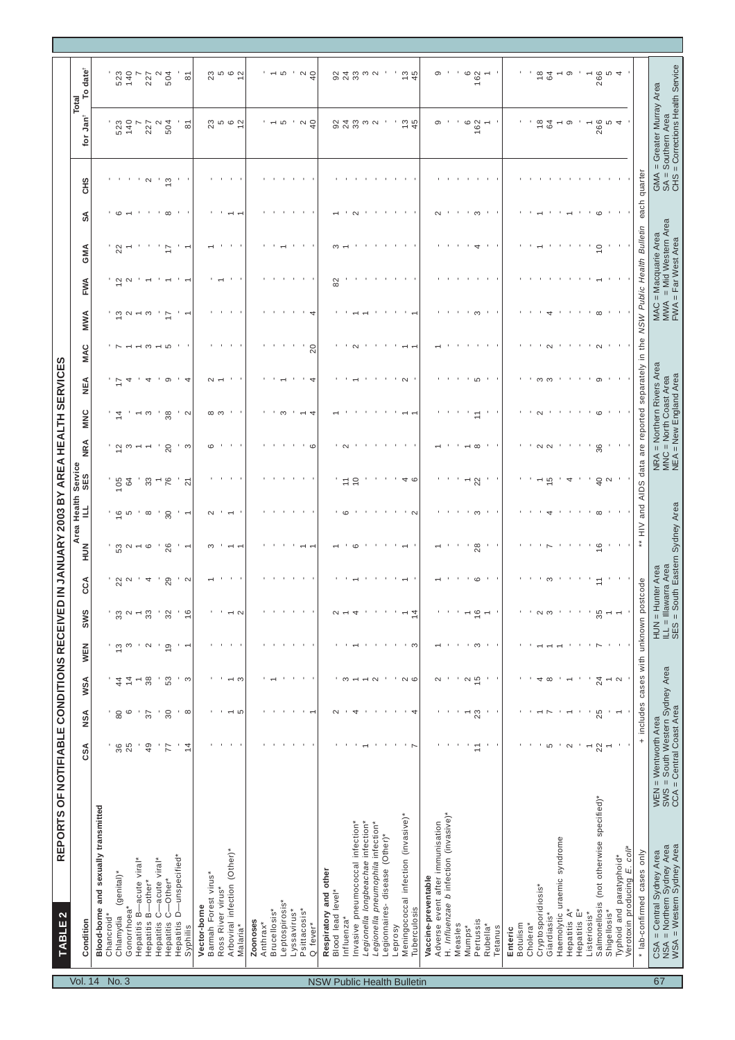|                                   | REPORTS OF NOTIFIABLE CONDITIONS RECEIVED<br>TABLE <sub>2</sub>                      |                                                                                     |                          |                        |                             |                                   |                                                                              |                          |                          |                | IN JANUARY 2003 BY AREA HEALTH SERVICES                                      |                        |                                                                |         |                                                        |                                                                 |    |               |                                                                                     |                                |
|-----------------------------------|--------------------------------------------------------------------------------------|-------------------------------------------------------------------------------------|--------------------------|------------------------|-----------------------------|-----------------------------------|------------------------------------------------------------------------------|--------------------------|--------------------------|----------------|------------------------------------------------------------------------------|------------------------|----------------------------------------------------------------|---------|--------------------------------------------------------|-----------------------------------------------------------------|----|---------------|-------------------------------------------------------------------------------------|--------------------------------|
| <b>Vol. 14</b>                    | Condition                                                                            | CSA                                                                                 | NSA                      | WSA                    | WEN                         | <b>SWS</b>                        | ξ                                                                            | NUK                      | Area Health Service<br>╛ | SES            | <b>MAN</b>                                                                   | MNC                    | MAC<br>₹                                                       | MWA     | FWA                                                    | GMA                                                             | వ్ | ЗЯ            | Jan <sup>†</sup><br>tor                                                             | $date^{\dagger}$<br>٩<br>Total |
|                                   | Blood-borne and sexually transmitted                                                 |                                                                                     |                          |                        |                             |                                   |                                                                              |                          |                          |                |                                                                              |                        |                                                                |         |                                                        |                                                                 |    |               |                                                                                     |                                |
|                                   | Chancroid*                                                                           |                                                                                     |                          |                        |                             |                                   |                                                                              |                          |                          |                |                                                                              |                        |                                                                |         |                                                        |                                                                 |    |               |                                                                                     |                                |
| No. 3                             | (genital)*<br>Chlamydia                                                              | 36<br>25                                                                            | 80                       | 4                      | $\frac{1}{2}$ $\frac{1}{2}$ | $32^{\circ}$                      | 22                                                                           | ່ ຕ ~                    | $\overline{6}$<br>5      | 105            | $\tilde{c}$                                                                  | $\overline{4}$         |                                                                |         | $\overline{a}$ $\overline{a}$<br>$\overline{\omega}$ a | 22                                                              |    |               | 523<br>140                                                                          | 523<br>140                     |
|                                   | -acute viral*<br>Gonorrhoea*<br>Hepatitis B-                                         |                                                                                     | $\circ$                  | 4                      |                             | $\overline{\phantom{0}}$          | $\sim$                                                                       |                          |                          | 64             |                                                                              |                        |                                                                |         |                                                        |                                                                 |    |               | $\overline{ }$                                                                      |                                |
|                                   | -other*<br>Hepatitis B-                                                              | 49                                                                                  | $\overline{37}$          | 38                     | $\sim$                      | 33                                | 4                                                                            | $\sim$ $\circ$           | $\infty$                 | ౘ              |                                                                              | ო                      |                                                                |         |                                                        |                                                                 |    | $\sim$        | 227                                                                                 | 227                            |
|                                   | -acute viral*<br>Hepatitis C-                                                        |                                                                                     | ٠                        |                        |                             |                                   |                                                                              |                          |                          |                |                                                                              |                        |                                                                |         |                                                        |                                                                 |    |               | $\mathbf{\Omega}$                                                                   | $\sim$                         |
|                                   | -Other*<br>Hepatitis C-                                                              | 77                                                                                  | 30                       | 53                     | $\frac{1}{6}$               | 32                                | 29                                                                           | 26                       | 30                       | 76             | 20                                                                           | 38                     | တ                                                              |         |                                                        |                                                                 |    | $\frac{3}{2}$ | 504                                                                                 | 504                            |
|                                   | Hepatitis D-unspecified*<br>Syphilis                                                 | $\frac{1}{4}$                                                                       | $\cdot$ $\infty$         | ' ന                    | $\bar{z}$                   | $\frac{6}{5}$                     | $\sim$                                                                       | $\cdot$ $\sim$           |                          | $\overline{2}$ | ' ന                                                                          | . u                    | 4                                                              |         |                                                        |                                                                 |    |               | $\overline{\circ}$                                                                  | $\overline{8}$                 |
|                                   |                                                                                      |                                                                                     |                          |                        |                             |                                   |                                                                              |                          |                          |                |                                                                              |                        |                                                                |         |                                                        |                                                                 |    |               |                                                                                     |                                |
|                                   | Barmah Forest virus*<br>Vector-borne                                                 |                                                                                     |                          |                        |                             |                                   |                                                                              | ო                        | $\sim$                   |                | $\circ$                                                                      |                        |                                                                |         |                                                        |                                                                 |    |               |                                                                                     |                                |
|                                   | Ross River virus*                                                                    |                                                                                     |                          |                        |                             |                                   |                                                                              |                          |                          |                |                                                                              | ထ က                    |                                                                |         |                                                        |                                                                 |    |               |                                                                                     |                                |
|                                   | Arboviral infection (Other)*                                                         |                                                                                     | $-5$                     | $\sim$ $\infty$        | $\blacksquare$              | $\sim \infty$                     |                                                                              | $\overline{\phantom{0}}$ |                          |                |                                                                              |                        |                                                                |         |                                                        |                                                                 |    |               | 2<br>2<br>2<br>2<br>2                                                               | 295                            |
|                                   | Malaria*                                                                             |                                                                                     |                          |                        |                             |                                   |                                                                              |                          |                          |                |                                                                              |                        |                                                                |         |                                                        |                                                                 |    |               |                                                                                     |                                |
|                                   | Zoonoses                                                                             |                                                                                     |                          |                        |                             |                                   |                                                                              |                          |                          |                |                                                                              |                        |                                                                |         |                                                        |                                                                 |    |               |                                                                                     |                                |
|                                   | Anthrax*                                                                             |                                                                                     |                          |                        |                             |                                   |                                                                              |                          |                          |                |                                                                              |                        |                                                                |         |                                                        |                                                                 |    |               |                                                                                     |                                |
|                                   | Brucellosis*                                                                         |                                                                                     |                          |                        |                             |                                   |                                                                              |                          |                          |                |                                                                              |                        |                                                                |         |                                                        |                                                                 |    |               |                                                                                     | ' ~                            |
|                                   | Leptospirosis <sup>*</sup>                                                           |                                                                                     |                          |                        |                             |                                   |                                                                              |                          |                          |                |                                                                              | ო                      |                                                                |         |                                                        |                                                                 |    |               | Ю                                                                                   | မာ                             |
|                                   | Lyssavirus                                                                           |                                                                                     |                          |                        |                             |                                   |                                                                              |                          |                          |                |                                                                              |                        |                                                                |         |                                                        |                                                                 |    |               |                                                                                     |                                |
|                                   | Psittacosis*                                                                         |                                                                                     |                          |                        | $\blacksquare$              | $\mathbf{r}$                      |                                                                              |                          |                          |                |                                                                              |                        |                                                                |         |                                                        | $\mathbf{r}$                                                    |    |               | $\frac{2}{4}$                                                                       | $\frac{2}{4}$                  |
|                                   | fever <sup>*</sup><br>O                                                              |                                                                                     |                          |                        |                             |                                   |                                                                              |                          |                          |                |                                                                              |                        |                                                                | $^{20}$ |                                                        |                                                                 |    |               |                                                                                     |                                |
| <b>NSW Public Health Bulletin</b> | Respiratory and other                                                                |                                                                                     |                          |                        |                             |                                   |                                                                              |                          |                          |                |                                                                              |                        |                                                                |         |                                                        |                                                                 |    |               |                                                                                     |                                |
|                                   | Blood lead level*                                                                    |                                                                                     | $\sim$                   |                        |                             |                                   |                                                                              |                          |                          |                |                                                                              |                        |                                                                |         | 82                                                     |                                                                 |    |               |                                                                                     |                                |
|                                   | Influenza*                                                                           |                                                                                     |                          | ന                      |                             | $\alpha - 4$                      |                                                                              |                          |                          |                |                                                                              |                        |                                                                |         |                                                        |                                                                 |    |               | 924<br>923                                                                          | 8 4 3                          |
|                                   | nvasive pneumococcal infection*                                                      |                                                                                     | 4                        |                        |                             |                                   |                                                                              | $\circ$                  |                          | S              |                                                                              |                        |                                                                |         |                                                        |                                                                 |    |               |                                                                                     |                                |
|                                   | Legionella longbeachae infection*                                                    |                                                                                     |                          | $\sim \alpha$          |                             |                                   |                                                                              |                          |                          |                |                                                                              |                        |                                                                |         |                                                        |                                                                 |    |               | w u                                                                                 | က လ                            |
|                                   | "Legionella pneumophila infection<br>Legionnaires-disease (Other)*                   |                                                                                     |                          |                        |                             |                                   |                                                                              |                          |                          |                |                                                                              |                        |                                                                |         |                                                        |                                                                 |    |               |                                                                                     |                                |
|                                   | Leprosy                                                                              |                                                                                     |                          |                        |                             |                                   |                                                                              |                          |                          |                |                                                                              |                        |                                                                |         |                                                        |                                                                 |    |               |                                                                                     |                                |
|                                   | Meningococcal infection (invasive)*                                                  | $\cdot$ $\sim$                                                                      | $\blacksquare$           | $\cdot$ $\sim$ $\circ$ |                             | $\overline{\phantom{0}}$          |                                                                              |                          |                          | 4 0            |                                                                              |                        | $\sim$                                                         |         |                                                        |                                                                 |    |               | $\frac{13}{4}$                                                                      | $\frac{13}{45}$                |
|                                   | Tuberculosis                                                                         |                                                                                     | 4                        |                        | ്റ                          | $\overline{4}$                    |                                                                              |                          | $\cdot$ $\sim$           |                |                                                                              |                        |                                                                |         |                                                        |                                                                 |    |               |                                                                                     |                                |
|                                   | Vaccine-preventable                                                                  |                                                                                     |                          |                        |                             |                                   |                                                                              |                          |                          |                |                                                                              |                        |                                                                |         |                                                        |                                                                 |    |               |                                                                                     |                                |
|                                   | Adverse event after immunisation                                                     |                                                                                     |                          | $\sim$                 |                             |                                   |                                                                              |                          |                          |                |                                                                              |                        |                                                                |         |                                                        |                                                                 |    |               | တ                                                                                   | တ                              |
|                                   | H. Influenzae b infection (invasive)*                                                |                                                                                     |                          |                        |                             |                                   |                                                                              |                          |                          |                |                                                                              |                        |                                                                |         |                                                        |                                                                 |    |               |                                                                                     |                                |
|                                   | Measles                                                                              |                                                                                     |                          |                        |                             |                                   |                                                                              |                          |                          |                |                                                                              |                        |                                                                |         |                                                        |                                                                 |    |               |                                                                                     |                                |
|                                   | Mumps*                                                                               |                                                                                     | $\overline{\phantom{0}}$ | $\frac{2}{5}$          | ო                           | $-9 -$                            |                                                                              |                          | ო                        |                |                                                                              |                        |                                                                |         |                                                        |                                                                 |    |               | G<br>162                                                                            | $\circ$<br>162                 |
|                                   | Pertussis<br>Rubella*                                                                | $\overline{1}$                                                                      | 23<br>٠                  | $\cdot$                |                             |                                   |                                                                              | 28                       |                          | 22             |                                                                              |                        | ഥ                                                              |         |                                                        |                                                                 |    |               | $\overline{\phantom{0}}$                                                            | $\overline{\phantom{0}}$       |
|                                   | Tetanus                                                                              | $\mathbf{r} = \mathbf{r}$                                                           |                          |                        |                             |                                   |                                                                              |                          |                          |                |                                                                              |                        |                                                                |         |                                                        |                                                                 |    |               |                                                                                     |                                |
|                                   | Enteric                                                                              |                                                                                     |                          |                        |                             |                                   |                                                                              |                          |                          |                |                                                                              |                        |                                                                |         |                                                        |                                                                 |    |               |                                                                                     |                                |
|                                   | Botulism                                                                             |                                                                                     |                          |                        |                             |                                   |                                                                              |                          |                          |                |                                                                              |                        |                                                                |         |                                                        |                                                                 |    |               |                                                                                     |                                |
|                                   | Cholera <sup>*</sup>                                                                 |                                                                                     |                          |                        |                             |                                   |                                                                              |                          |                          |                |                                                                              |                        |                                                                |         |                                                        |                                                                 |    |               |                                                                                     |                                |
|                                   | Cryptosporidiosis*                                                                   |                                                                                     |                          | 4                      |                             | ്റത                               |                                                                              |                          |                          |                | $\sim$                                                                       | $\sim$                 | ო                                                              |         |                                                        |                                                                 |    |               | $\frac{8}{1}$                                                                       | ءِ                             |
|                                   | Giardiasis*                                                                          | 5                                                                                   |                          | $\infty$               |                             |                                   |                                                                              |                          |                          | 40             | $\sim$                                                                       |                        | S                                                              |         |                                                        |                                                                 |    |               | 64                                                                                  | $^{64}$                        |
|                                   | Haemolytic uraemic syndrome                                                          | $\mathcal{A}$                                                                       |                          |                        |                             | $\mathcal{A}$                     |                                                                              |                          |                          |                |                                                                              |                        |                                                                |         |                                                        |                                                                 |    |               |                                                                                     |                                |
|                                   | Hepatitis A*<br>Hepatitis E*                                                         | $\sim$                                                                              |                          |                        |                             |                                   |                                                                              |                          |                          | 4              |                                                                              |                        |                                                                |         |                                                        |                                                                 |    |               | တ                                                                                   | တ                              |
|                                   | Listeriosis*                                                                         | $\overline{\phantom{0}}$                                                            |                          |                        |                             | <b>CONTRACTOR</b>                 |                                                                              |                          |                          |                |                                                                              |                        |                                                                |         |                                                        |                                                                 |    |               |                                                                                     |                                |
|                                   | Salmonellosis (not otherwise specified)*                                             | 22                                                                                  | 25                       | 24                     |                             | 35                                |                                                                              | $\frac{6}{2}$            |                          | $\frac{1}{2}$  | 36                                                                           | $\circ$                | တ                                                              |         |                                                        | $\overline{0}$                                                  |    |               | 266                                                                                 |                                |
|                                   | Shigellosis*                                                                         | $\overline{ }$                                                                      |                          |                        |                             | $\overline{\phantom{0}}$          |                                                                              |                          |                          | $\sim$         |                                                                              |                        |                                                                |         |                                                        |                                                                 |    |               | 5                                                                                   | 266<br>5                       |
|                                   | Verotoxin producing E. coll*<br>Typhoid and paratyphoid*                             |                                                                                     |                          | $\sim$                 |                             |                                   |                                                                              |                          |                          |                |                                                                              |                        |                                                                |         |                                                        |                                                                 |    |               |                                                                                     |                                |
|                                   |                                                                                      |                                                                                     |                          |                        |                             |                                   |                                                                              |                          |                          |                |                                                                              |                        |                                                                |         |                                                        |                                                                 |    |               |                                                                                     |                                |
|                                   | * lab-confirmed cases only                                                           |                                                                                     |                          |                        |                             | + includes cases with unknown pos | tcode                                                                        | $***$ HIV                | and AIDS                 |                |                                                                              |                        | data are reported separately in the NSW Public Health Bulletin |         |                                                        |                                                                 |    | each quarter  |                                                                                     |                                |
| 67                                | CSA = Central Sydney Area<br>NSA = Northern Sydney Area<br>WSA = Western Sydney Area | WEN = Wentworth Area<br>SWS = South Western Sydney Area<br>CCA = Central Coast Area |                          |                        |                             |                                   | HUN = Hunter Area<br>ILL = Illawarra Area<br>SES = South Eastern Sydney Area |                          |                          |                | NRA = Northern Rivers Ar<br>MNC = North Coast Area<br>NEA = New England Area | = Northern Rivers Area |                                                                |         |                                                        | Mid Western Area<br>MAC = Macquarie Area<br>MWA = Mid Western A |    |               | GMA = Greater Murray Area<br>SA = Southern Area<br>CHS = Corrections Health Service |                                |
|                                   |                                                                                      |                                                                                     |                          |                        |                             |                                   |                                                                              |                          |                          |                |                                                                              |                        |                                                                |         |                                                        | FWA = Far West Area                                             |    |               |                                                                                     |                                |